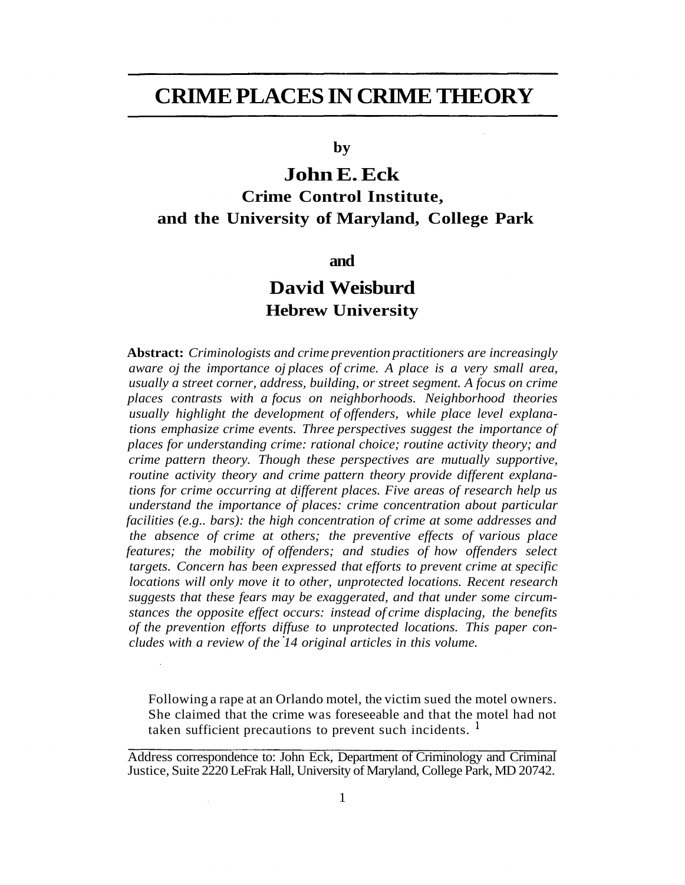# **CRIME PLACES IN CRIME THEORY**

**by**

# **John E. Eck Crime Control Institute, and the University of Maryland, College Park**

**and**

## **David Weisburd Hebrew University**

**Abstract:** *Criminologists and crime prevention practitioners are increasingly aware oj the importance oj places of crime. A place is a very small area, usually a street corner, address, building, or street segment. A focus on crime places contrasts with a focus on neighborhoods. Neighborhood theories usually highlight the development of offenders, while place level explanations emphasize crime events. Three perspectives suggest the importance of places for understanding crime: rational choice; routine activity theory; and crime pattern theory. Though these perspectives are mutually supportive, routine activity theory and crime pattern theory provide different explanations for crime occurring at different places. Five areas of research help us understand the importance of places: crime concentration about particular facilities (e.g.. bars): the high concentration of crime at some addresses and the absence of crime at others; the preventive effects of various place features; the mobility of offenders; and studies of how offenders select targets. Concern has been expressed that efforts to prevent crime at specific locations will only move it to other, unprotected locations. Recent research suggests that these fears may be exaggerated, and that under some circumstances the opposite effect occurs: instead of crime displacing, the benefits of the prevention efforts diffuse to unprotected locations. This paper concludes with a review of the 14 original articles in this volume.*

Following a rape at an Orlando motel, the victim sued the motel owners. She claimed that the crime was foreseeable and that the motel had not taken sufficient precautions to prevent such incidents.  $<sup>1</sup>$ </sup>

Address correspondence to: John Eck, Department of Criminology and Criminal Justice, Suite 2220 LeFrak Hall, University of Maryland, College Park, MD 20742.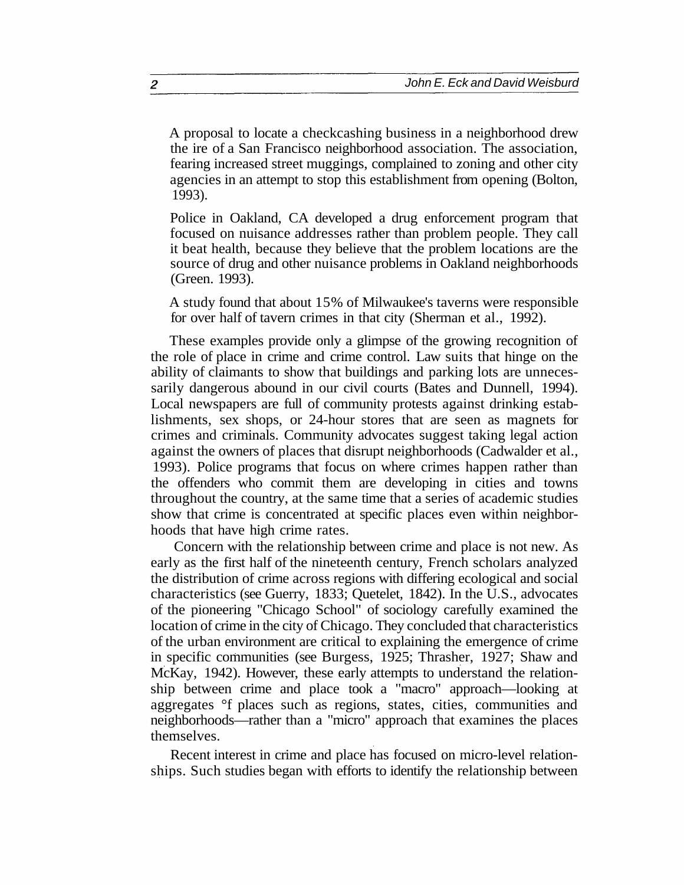A proposal to locate a checkcashing business in a neighborhood drew the ire of a San Francisco neighborhood association. The association, fearing increased street muggings, complained to zoning and other city agencies in an attempt to stop this establishment from opening (Bolton, 1993).

Police in Oakland, CA developed a drug enforcement program that focused on nuisance addresses rather than problem people. They call it beat health, because they believe that the problem locations are the source of drug and other nuisance problems in Oakland neighborhoods (Green. 1993).

A study found that about 15% of Milwaukee's taverns were responsible for over half of tavern crimes in that city (Sherman et al., 1992).

These examples provide only a glimpse of the growing recognition of the role of place in crime and crime control. Law suits that hinge on the ability of claimants to show that buildings and parking lots are unnecessarily dangerous abound in our civil courts (Bates and Dunnell, 1994). Local newspapers are full of community protests against drinking establishments, sex shops, or 24-hour stores that are seen as magnets for crimes and criminals. Community advocates suggest taking legal action against the owners of places that disrupt neighborhoods (Cadwalder et al., 1993). Police programs that focus on where crimes happen rather than the offenders who commit them are developing in cities and towns throughout the country, at the same time that a series of academic studies show that crime is concentrated at specific places even within neighborhoods that have high crime rates.

Concern with the relationship between crime and place is not new. As early as the first half of the nineteenth century, French scholars analyzed the distribution of crime across regions with differing ecological and social characteristics (see Guerry, 1833; Quetelet, 1842). In the U.S., advocates of the pioneering "Chicago School" of sociology carefully examined the location of crime in the city of Chicago. They concluded that characteristics of the urban environment are critical to explaining the emergence of crime in specific communities (see Burgess, 1925; Thrasher, 1927; Shaw and McKay, 1942). However, these early attempts to understand the relationship between crime and place took a "macro" approach—looking at aggregates °f places such as regions, states, cities, communities and neighborhoods—rather than a "micro" approach that examines the places themselves.

Recent interest in crime and place has focused on micro-level relationships. Such studies began with efforts to identify the relationship between

 $\overline{c}$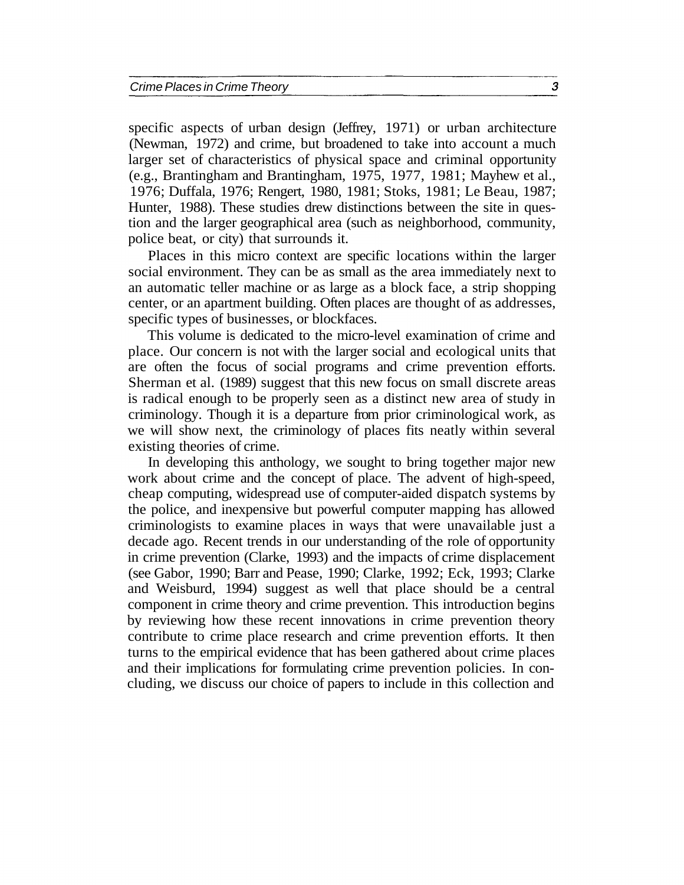specific aspects of urban design (Jeffrey, 1971) or urban architecture (Newman, 1972) and crime, but broadened to take into account a much larger set of characteristics of physical space and criminal opportunity (e.g., Brantingham and Brantingham, 1975, 1977, 1981; Mayhew et al., 1976; Duffala, 1976; Rengert, 1980, 1981; Stoks, 1981; Le Beau, 1987; Hunter, 1988). These studies drew distinctions between the site in question and the larger geographical area (such as neighborhood, community, police beat, or city) that surrounds it.

Places in this micro context are specific locations within the larger social environment. They can be as small as the area immediately next to an automatic teller machine or as large as a block face, a strip shopping center, or an apartment building. Often places are thought of as addresses, specific types of businesses, or blockfaces.

This volume is dedicated to the micro-level examination of crime and place. Our concern is not with the larger social and ecological units that are often the focus of social programs and crime prevention efforts. Sherman et al. (1989) suggest that this new focus on small discrete areas is radical enough to be properly seen as a distinct new area of study in criminology. Though it is a departure from prior criminological work, as we will show next, the criminology of places fits neatly within several existing theories of crime.

In developing this anthology, we sought to bring together major new work about crime and the concept of place. The advent of high-speed, cheap computing, widespread use of computer-aided dispatch systems by the police, and inexpensive but powerful computer mapping has allowed criminologists to examine places in ways that were unavailable just a decade ago. Recent trends in our understanding of the role of opportunity in crime prevention (Clarke, 1993) and the impacts of crime displacement (see Gabor, 1990; Barr and Pease, 1990; Clarke, 1992; Eck, 1993; Clarke and Weisburd, 1994) suggest as well that place should be a central component in crime theory and crime prevention. This introduction begins by reviewing how these recent innovations in crime prevention theory contribute to crime place research and crime prevention efforts. It then turns to the empirical evidence that has been gathered about crime places and their implications for formulating crime prevention policies. In concluding, we discuss our choice of papers to include in this collection and

 $\mathfrak{S}$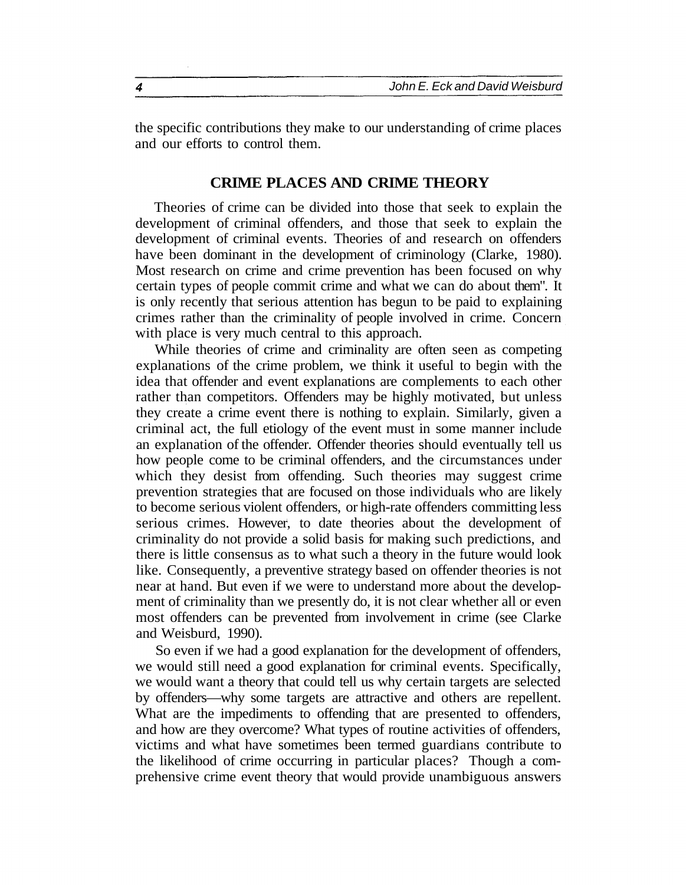the specific contributions they make to our understanding of crime places and our efforts to control them.

### **CRIME PLACES AND CRIME THEORY**

Theories of crime can be divided into those that seek to explain the development of criminal offenders, and those that seek to explain the development of criminal events. Theories of and research on offenders have been dominant in the development of criminology (Clarke, 1980). Most research on crime and crime prevention has been focused on why certain types of people commit crime and what we can do about them". It is only recently that serious attention has begun to be paid to explaining crimes rather than the criminality of people involved in crime. Concern with place is very much central to this approach.

While theories of crime and criminality are often seen as competing explanations of the crime problem, we think it useful to begin with the idea that offender and event explanations are complements to each other rather than competitors. Offenders may be highly motivated, but unless they create a crime event there is nothing to explain. Similarly, given a criminal act, the full etiology of the event must in some manner include an explanation of the offender. Offender theories should eventually tell us how people come to be criminal offenders, and the circumstances under which they desist from offending. Such theories may suggest crime prevention strategies that are focused on those individuals who are likely to become serious violent offenders, or high-rate offenders committing less serious crimes. However, to date theories about the development of criminality do not provide a solid basis for making such predictions, and there is little consensus as to what such a theory in the future would look like. Consequently, a preventive strategy based on offender theories is not near at hand. But even if we were to understand more about the development of criminality than we presently do, it is not clear whether all or even most offenders can be prevented from involvement in crime (see Clarke and Weisburd, 1990).

So even if we had a good explanation for the development of offenders, we would still need a good explanation for criminal events. Specifically, we would want a theory that could tell us why certain targets are selected by offenders—why some targets are attractive and others are repellent. What are the impediments to offending that are presented to offenders, and how are they overcome? What types of routine activities of offenders, victims and what have sometimes been termed guardians contribute to the likelihood of crime occurring in particular places? Though a comprehensive crime event theory that would provide unambiguous answers

 $\overline{\mathbf{4}}$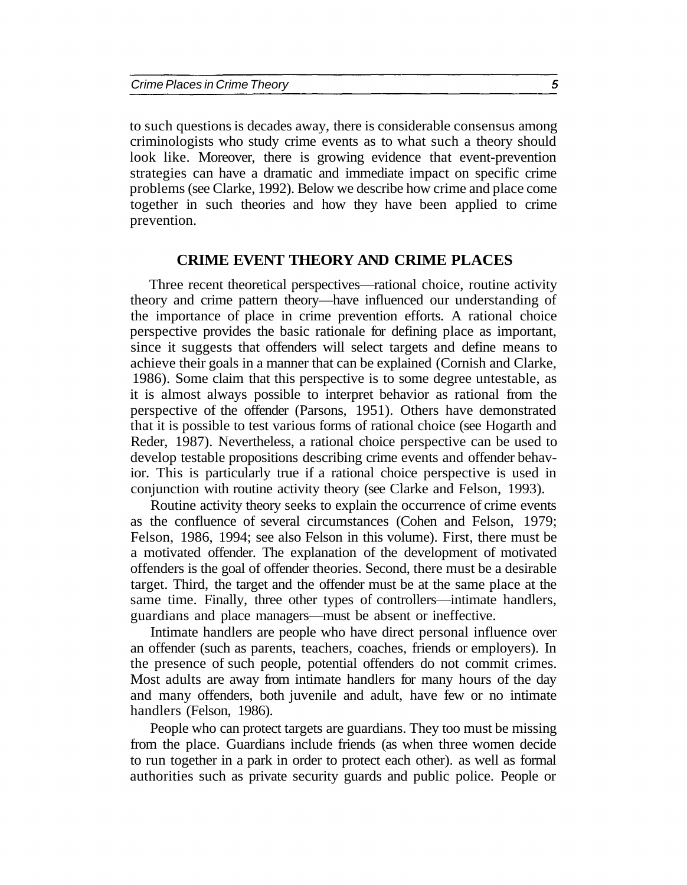to such questions is decades away, there is considerable consensus among criminologists who study crime events as to what such a theory should look like. Moreover, there is growing evidence that event-prevention strategies can have a dramatic and immediate impact on specific crime problems (see Clarke, 1992). Below we describe how crime and place come together in such theories and how they have been applied to crime prevention.

#### **CRIME EVENT THEORY AND CRIME PLACES**

Three recent theoretical perspectives—rational choice, routine activity theory and crime pattern theory—have influenced our understanding of the importance of place in crime prevention efforts. A rational choice perspective provides the basic rationale for defining place as important, since it suggests that offenders will select targets and define means to achieve their goals in a manner that can be explained (Cornish and Clarke, 1986). Some claim that this perspective is to some degree untestable, as it is almost always possible to interpret behavior as rational from the perspective of the offender (Parsons, 1951). Others have demonstrated that it is possible to test various forms of rational choice (see Hogarth and Reder, 1987). Nevertheless, a rational choice perspective can be used to develop testable propositions describing crime events and offender behavior. This is particularly true if a rational choice perspective is used in conjunction with routine activity theory (see Clarke and Felson, 1993).

Routine activity theory seeks to explain the occurrence of crime events as the confluence of several circumstances (Cohen and Felson, 1979; Felson, 1986, 1994; see also Felson in this volume). First, there must be a motivated offender. The explanation of the development of motivated offenders is the goal of offender theories. Second, there must be a desirable target. Third, the target and the offender must be at the same place at the same time. Finally, three other types of controllers—intimate handlers, guardians and place managers—must be absent or ineffective.

Intimate handlers are people who have direct personal influence over an offender (such as parents, teachers, coaches, friends or employers). In the presence of such people, potential offenders do not commit crimes. Most adults are away from intimate handlers for many hours of the day and many offenders, both juvenile and adult, have few or no intimate handlers (Felson, 1986).

People who can protect targets are guardians. They too must be missing from the place. Guardians include friends (as when three women decide to run together in a park in order to protect each other). as well as formal authorities such as private security guards and public police. People or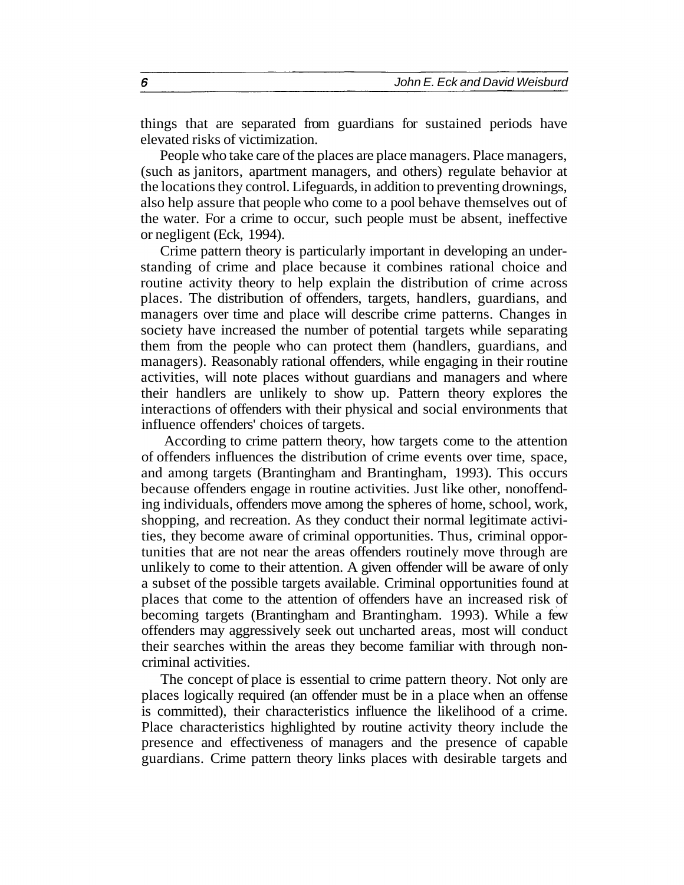things that are separated from guardians for sustained periods have elevated risks of victimization.

People who take care of the places are place managers. Place managers, (such as janitors, apartment managers, and others) regulate behavior at the locations they control. Lifeguards, in addition to preventing drownings, also help assure that people who come to a pool behave themselves out of the water. For a crime to occur, such people must be absent, ineffective or negligent (Eck, 1994).

Crime pattern theory is particularly important in developing an understanding of crime and place because it combines rational choice and routine activity theory to help explain the distribution of crime across places. The distribution of offenders, targets, handlers, guardians, and managers over time and place will describe crime patterns. Changes in society have increased the number of potential targets while separating them from the people who can protect them (handlers, guardians, and managers). Reasonably rational offenders, while engaging in their routine activities, will note places without guardians and managers and where their handlers are unlikely to show up. Pattern theory explores the interactions of offenders with their physical and social environments that influence offenders' choices of targets.

According to crime pattern theory, how targets come to the attention of offenders influences the distribution of crime events over time, space, and among targets (Brantingham and Brantingham, 1993). This occurs because offenders engage in routine activities. Just like other, nonoffending individuals, offenders move among the spheres of home, school, work, shopping, and recreation. As they conduct their normal legitimate activities, they become aware of criminal opportunities. Thus, criminal opportunities that are not near the areas offenders routinely move through are unlikely to come to their attention. A given offender will be aware of only a subset of the possible targets available. Criminal opportunities found at places that come to the attention of offenders have an increased risk of becoming targets (Brantingham and Brantingham. 1993). While a few offenders may aggressively seek out uncharted areas, most will conduct their searches within the areas they become familiar with through noncriminal activities.

The concept of place is essential to crime pattern theory. Not only are places logically required (an offender must be in a place when an offense is committed), their characteristics influence the likelihood of a crime. Place characteristics highlighted by routine activity theory include the presence and effectiveness of managers and the presence of capable guardians. Crime pattern theory links places with desirable targets and

6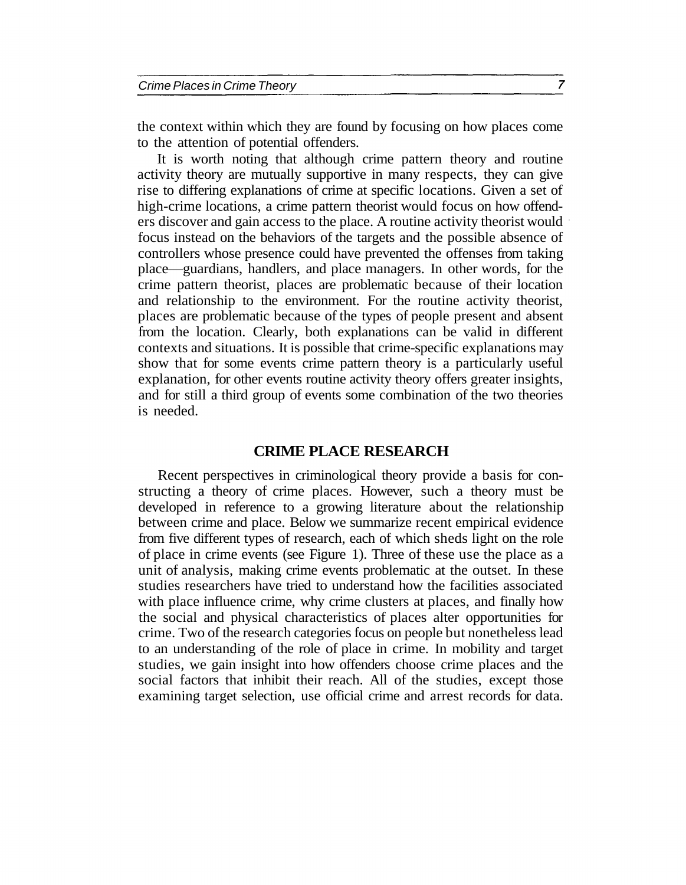the context within which they are found by focusing on how places come to the attention of potential offenders.

It is worth noting that although crime pattern theory and routine activity theory are mutually supportive in many respects, they can give rise to differing explanations of crime at specific locations. Given a set of high-crime locations, a crime pattern theorist would focus on how offenders discover and gain access to the place. A routine activity theorist would focus instead on the behaviors of the targets and the possible absence of controllers whose presence could have prevented the offenses from taking place—guardians, handlers, and place managers. In other words, for the crime pattern theorist, places are problematic because of their location and relationship to the environment. For the routine activity theorist, places are problematic because of the types of people present and absent from the location. Clearly, both explanations can be valid in different contexts and situations. It is possible that crime-specific explanations may show that for some events crime pattern theory is a particularly useful explanation, for other events routine activity theory offers greater insights, and for still a third group of events some combination of the two theories is needed.

#### **CRIME PLACE RESEARCH**

Recent perspectives in criminological theory provide a basis for constructing a theory of crime places. However, such a theory must be developed in reference to a growing literature about the relationship between crime and place. Below we summarize recent empirical evidence from five different types of research, each of which sheds light on the role of place in crime events (see Figure 1). Three of these use the place as a unit of analysis, making crime events problematic at the outset. In these studies researchers have tried to understand how the facilities associated with place influence crime, why crime clusters at places, and finally how the social and physical characteristics of places alter opportunities for crime. Two of the research categories focus on people but nonetheless lead to an understanding of the role of place in crime. In mobility and target studies, we gain insight into how offenders choose crime places and the social factors that inhibit their reach. All of the studies, except those examining target selection, use official crime and arrest records for data.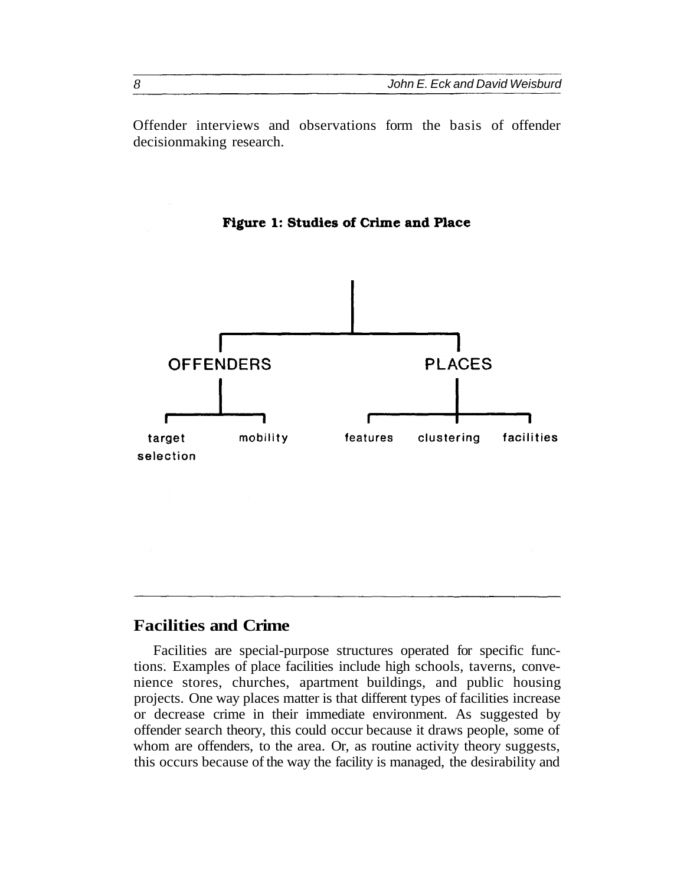Offender interviews and observations form the basis of offender decisionmaking research.

**Figure 1: Studies of Crime and Place** 



## **Facilities and Crime**

Facilities are special-purpose structures operated for specific functions. Examples of place facilities include high schools, taverns, convenience stores, churches, apartment buildings, and public housing projects. One way places matter is that different types of facilities increase or decrease crime in their immediate environment. As suggested by offender search theory, this could occur because it draws people, some of whom are offenders, to the area. Or, as routine activity theory suggests, this occurs because of the way the facility is managed, the desirability and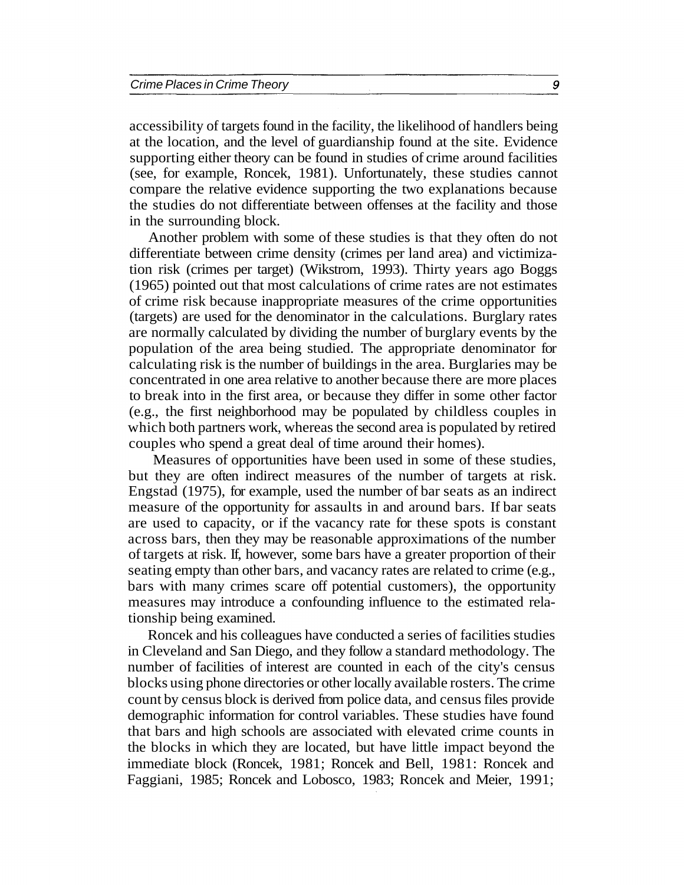accessibility of targets found in the facility, the likelihood of handlers being at the location, and the level of guardianship found at the site. Evidence supporting either theory can be found in studies of crime around facilities (see, for example, Roncek, 1981). Unfortunately, these studies cannot compare the relative evidence supporting the two explanations because the studies do not differentiate between offenses at the facility and those in the surrounding block.

Another problem with some of these studies is that they often do not differentiate between crime density (crimes per land area) and victimization risk (crimes per target) (Wikstrom, 1993). Thirty years ago Boggs (1965) pointed out that most calculations of crime rates are not estimates of crime risk because inappropriate measures of the crime opportunities (targets) are used for the denominator in the calculations. Burglary rates are normally calculated by dividing the number of burglary events by the population of the area being studied. The appropriate denominator for calculating risk is the number of buildings in the area. Burglaries may be concentrated in one area relative to another because there are more places to break into in the first area, or because they differ in some other factor (e.g., the first neighborhood may be populated by childless couples in which both partners work, whereas the second area is populated by retired couples who spend a great deal of time around their homes).

Measures of opportunities have been used in some of these studies, but they are often indirect measures of the number of targets at risk. Engstad (1975), for example, used the number of bar seats as an indirect measure of the opportunity for assaults in and around bars. If bar seats are used to capacity, or if the vacancy rate for these spots is constant across bars, then they may be reasonable approximations of the number of targets at risk. If, however, some bars have a greater proportion of their seating empty than other bars, and vacancy rates are related to crime (e.g., bars with many crimes scare off potential customers), the opportunity measures may introduce a confounding influence to the estimated relationship being examined.

Roncek and his colleagues have conducted a series of facilities studies in Cleveland and San Diego, and they follow a standard methodology. The number of facilities of interest are counted in each of the city's census blocks using phone directories or other locally available rosters. The crime count by census block is derived from police data, and census files provide demographic information for control variables. These studies have found that bars and high schools are associated with elevated crime counts in the blocks in which they are located, but have little impact beyond the immediate block (Roncek, 1981; Roncek and Bell, 1981: Roncek and Faggiani, 1985; Roncek and Lobosco, 1983; Roncek and Meier, 1991;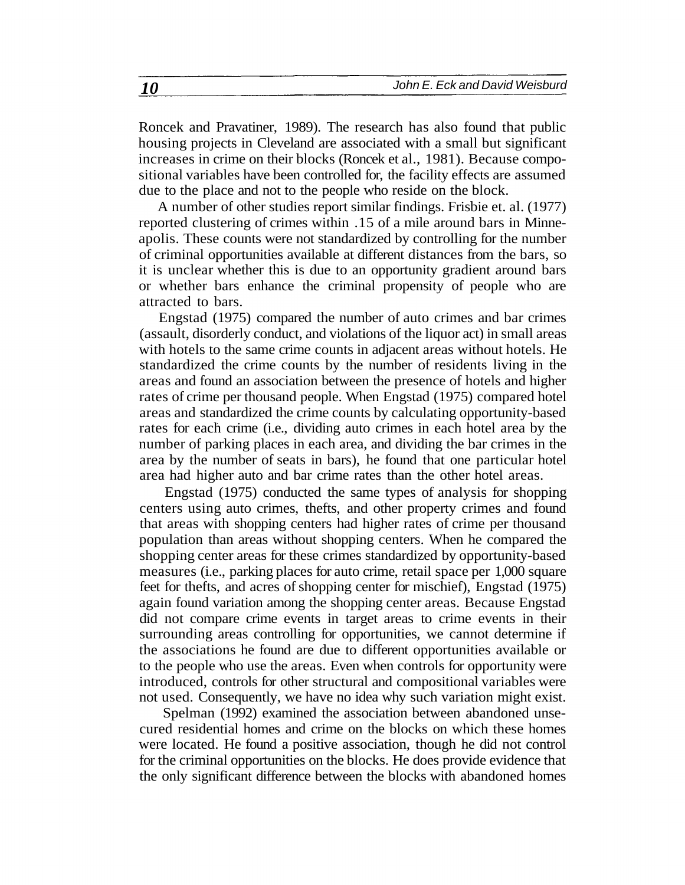Roncek and Pravatiner, 1989). The research has also found that public housing projects in Cleveland are associated with a small but significant increases in crime on their blocks (Roncek et al., 1981). Because compositional variables have been controlled for, the facility effects are assumed due to the place and not to the people who reside on the block.

A number of other studies report similar findings. Frisbie et. al. (1977) reported clustering of crimes within .15 of a mile around bars in Minneapolis. These counts were not standardized by controlling for the number of criminal opportunities available at different distances from the bars, so it is unclear whether this is due to an opportunity gradient around bars or whether bars enhance the criminal propensity of people who are attracted to bars.

Engstad (1975) compared the number of auto crimes and bar crimes (assault, disorderly conduct, and violations of the liquor act) in small areas with hotels to the same crime counts in adjacent areas without hotels. He standardized the crime counts by the number of residents living in the areas and found an association between the presence of hotels and higher rates of crime per thousand people. When Engstad (1975) compared hotel areas and standardized the crime counts by calculating opportunity-based rates for each crime (i.e., dividing auto crimes in each hotel area by the number of parking places in each area, and dividing the bar crimes in the area by the number of seats in bars), he found that one particular hotel area had higher auto and bar crime rates than the other hotel areas.

Engstad (1975) conducted the same types of analysis for shopping centers using auto crimes, thefts, and other property crimes and found that areas with shopping centers had higher rates of crime per thousand population than areas without shopping centers. When he compared the shopping center areas for these crimes standardized by opportunity-based measures (i.e., parking places for auto crime, retail space per 1,000 square feet for thefts, and acres of shopping center for mischief), Engstad (1975) again found variation among the shopping center areas. Because Engstad did not compare crime events in target areas to crime events in their surrounding areas controlling for opportunities, we cannot determine if the associations he found are due to different opportunities available or to the people who use the areas. Even when controls for opportunity were introduced, controls for other structural and compositional variables were not used. Consequently, we have no idea why such variation might exist.

Spelman (1992) examined the association between abandoned unsecured residential homes and crime on the blocks on which these homes were located. He found a positive association, though he did not control for the criminal opportunities on the blocks. He does provide evidence that the only significant difference between the blocks with abandoned homes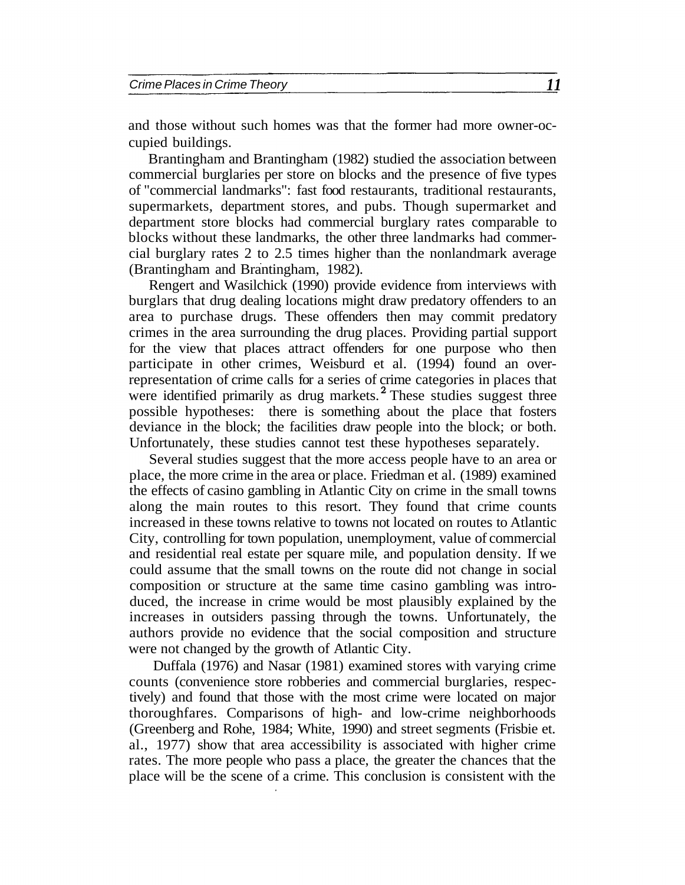and those without such homes was that the former had more owner-occupied buildings.

Brantingham and Brantingham (1982) studied the association between commercial burglaries per store on blocks and the presence of five types of "commercial landmarks": fast food restaurants, traditional restaurants, supermarkets, department stores, and pubs. Though supermarket and department store blocks had commercial burglary rates comparable to blocks without these landmarks, the other three landmarks had commercial burglary rates 2 to 2.5 times higher than the nonlandmark average (Brantingham and Brantingham, 1982).

Rengert and Wasilchick (1990) provide evidence from interviews with burglars that drug dealing locations might draw predatory offenders to an area to purchase drugs. These offenders then may commit predatory crimes in the area surrounding the drug places. Providing partial support for the view that places attract offenders for one purpose who then participate in other crimes, Weisburd et al. (1994) found an overrepresentation of crime calls for a series of crime categories in places that were identified primarily as drug markets. $^2$  These studies suggest three possible hypotheses: there is something about the place that fosters deviance in the block; the facilities draw people into the block; or both. Unfortunately, these studies cannot test these hypotheses separately.

Several studies suggest that the more access people have to an area or place, the more crime in the area or place. Friedman et al. (1989) examined the effects of casino gambling in Atlantic City on crime in the small towns along the main routes to this resort. They found that crime counts increased in these towns relative to towns not located on routes to Atlantic City, controlling for town population, unemployment, value of commercial and residential real estate per square mile, and population density. If we could assume that the small towns on the route did not change in social composition or structure at the same time casino gambling was introduced, the increase in crime would be most plausibly explained by the increases in outsiders passing through the towns. Unfortunately, the authors provide no evidence that the social composition and structure were not changed by the growth of Atlantic City.

Duffala (1976) and Nasar (1981) examined stores with varying crime counts (convenience store robberies and commercial burglaries, respectively) and found that those with the most crime were located on major thoroughfares. Comparisons of high- and low-crime neighborhoods (Greenberg and Rohe, 1984; White, 1990) and street segments (Frisbie et. al., 1977) show that area accessibility is associated with higher crime rates. The more people who pass a place, the greater the chances that the place will be the scene of a crime. This conclusion is consistent with the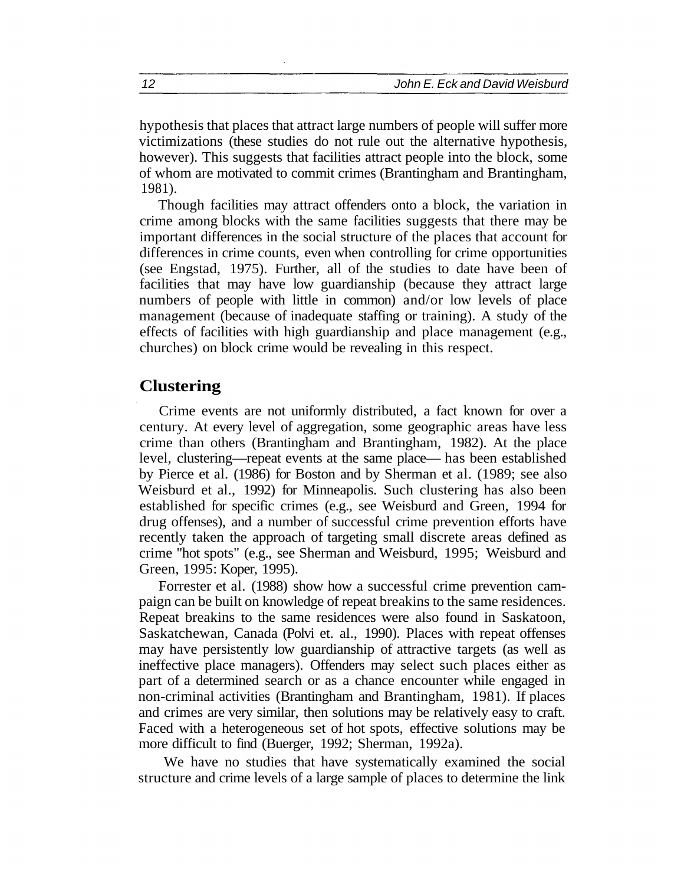hypothesis that places that attract large numbers of people will suffer more victimizations (these studies do not rule out the alternative hypothesis, however). This suggests that facilities attract people into the block, some of whom are motivated to commit crimes (Brantingham and Brantingham, 1981).

Though facilities may attract offenders onto a block, the variation in crime among blocks with the same facilities suggests that there may be important differences in the social structure of the places that account for differences in crime counts, even when controlling for crime opportunities (see Engstad, 1975). Further, all of the studies to date have been of facilities that may have low guardianship (because they attract large numbers of people with little in common) and/or low levels of place management (because of inadequate staffing or training). A study of the effects of facilities with high guardianship and place management (e.g., churches) on block crime would be revealing in this respect.

### **Clustering**

Crime events are not uniformly distributed, a fact known for over a century. At every level of aggregation, some geographic areas have less crime than others (Brantingham and Brantingham, 1982). At the place level, clustering—repeat events at the same place— has been established by Pierce et al. (1986) for Boston and by Sherman et al. (1989; see also Weisburd et al., 1992) for Minneapolis. Such clustering has also been established for specific crimes (e.g., see Weisburd and Green, 1994 for drug offenses), and a number of successful crime prevention efforts have recently taken the approach of targeting small discrete areas defined as crime "hot spots" (e.g., see Sherman and Weisburd, 1995; Weisburd and Green, 1995: Koper, 1995).

Forrester et al. (1988) show how a successful crime prevention campaign can be built on knowledge of repeat breakins to the same residences. Repeat breakins to the same residences were also found in Saskatoon, Saskatchewan, Canada (Polvi et. al., 1990). Places with repeat offenses may have persistently low guardianship of attractive targets (as well as ineffective place managers). Offenders may select such places either as part of a determined search or as a chance encounter while engaged in non-criminal activities (Brantingham and Brantingham, 1981). If places and crimes are very similar, then solutions may be relatively easy to craft. Faced with a heterogeneous set of hot spots, effective solutions may be more difficult to find (Buerger, 1992; Sherman, 1992a).

We have no studies that have systematically examined the social structure and crime levels of a large sample of places to determine the link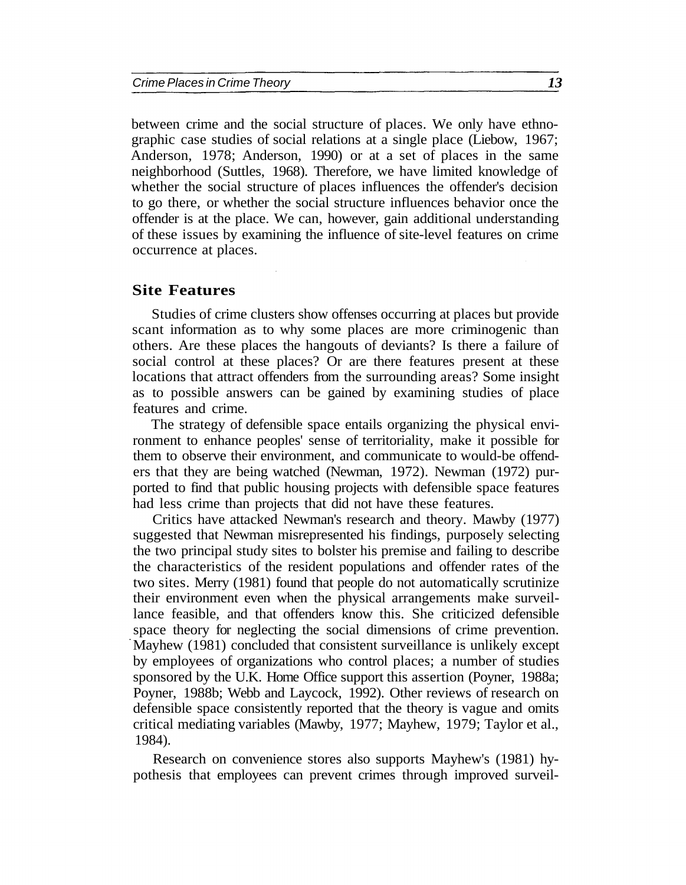between crime and the social structure of places. We only have ethnographic case studies of social relations at a single place (Liebow, 1967; Anderson, 1978; Anderson, 1990) or at a set of places in the same neighborhood (Suttles, 1968). Therefore, we have limited knowledge of whether the social structure of places influences the offender's decision to go there, or whether the social structure influences behavior once the offender is at the place. We can, however, gain additional understanding of these issues by examining the influence of site-level features on crime occurrence at places.

#### **Site Features**

Studies of crime clusters show offenses occurring at places but provide scant information as to why some places are more criminogenic than others. Are these places the hangouts of deviants? Is there a failure of social control at these places? Or are there features present at these locations that attract offenders from the surrounding areas? Some insight as to possible answers can be gained by examining studies of place features and crime.

The strategy of defensible space entails organizing the physical environment to enhance peoples' sense of territoriality, make it possible for them to observe their environment, and communicate to would-be offenders that they are being watched (Newman, 1972). Newman (1972) purported to find that public housing projects with defensible space features had less crime than projects that did not have these features.

Critics have attacked Newman's research and theory. Mawby (1977) suggested that Newman misrepresented his findings, purposely selecting the two principal study sites to bolster his premise and failing to describe the characteristics of the resident populations and offender rates of the two sites. Merry (1981) found that people do not automatically scrutinize their environment even when the physical arrangements make surveillance feasible, and that offenders know this. She criticized defensible space theory for neglecting the social dimensions of crime prevention. Mayhew (1981) concluded that consistent surveillance is unlikely except by employees of organizations who control places; a number of studies sponsored by the U.K. Home Office support this assertion (Poyner, 1988a; Poyner, 1988b; Webb and Laycock, 1992). Other reviews of research on defensible space consistently reported that the theory is vague and omits critical mediating variables (Mawby, 1977; Mayhew, 1979; Taylor et al., 1984).

Research on convenience stores also supports Mayhew's (1981) hypothesis that employees can prevent crimes through improved surveil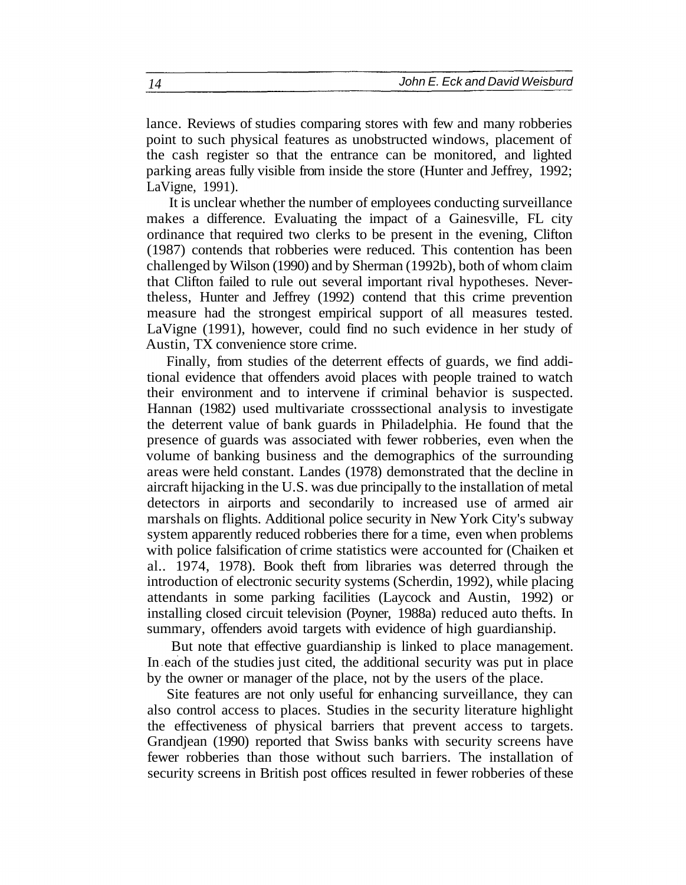lance. Reviews of studies comparing stores with few and many robberies point to such physical features as unobstructed windows, placement of the cash register so that the entrance can be monitored, and lighted parking areas fully visible from inside the store (Hunter and Jeffrey, 1992; LaVigne, 1991).

It is unclear whether the number of employees conducting surveillance makes a difference. Evaluating the impact of a Gainesville, FL city ordinance that required two clerks to be present in the evening, Clifton (1987) contends that robberies were reduced. This contention has been challenged by Wilson (1990) and by Sherman (1992b), both of whom claim that Clifton failed to rule out several important rival hypotheses. Nevertheless, Hunter and Jeffrey (1992) contend that this crime prevention measure had the strongest empirical support of all measures tested. LaVigne (1991), however, could find no such evidence in her study of Austin, TX convenience store crime.

Finally, from studies of the deterrent effects of guards, we find additional evidence that offenders avoid places with people trained to watch their environment and to intervene if criminal behavior is suspected. Hannan (1982) used multivariate crosssectional analysis to investigate the deterrent value of bank guards in Philadelphia. He found that the presence of guards was associated with fewer robberies, even when the volume of banking business and the demographics of the surrounding areas were held constant. Landes (1978) demonstrated that the decline in aircraft hijacking in the U.S. was due principally to the installation of metal detectors in airports and secondarily to increased use of armed air marshals on flights. Additional police security in New York City's subway system apparently reduced robberies there for a time, even when problems with police falsification of crime statistics were accounted for (Chaiken et al.. 1974, 1978). Book theft from libraries was deterred through the introduction of electronic security systems (Scherdin, 1992), while placing attendants in some parking facilities (Laycock and Austin, 1992) or installing closed circuit television (Poyner, 1988a) reduced auto thefts. In summary, offenders avoid targets with evidence of high guardianship.

But note that effective guardianship is linked to place management. In each of the studies just cited, the additional security was put in place by the owner or manager of the place, not by the users of the place.

Site features are not only useful for enhancing surveillance, they can also control access to places. Studies in the security literature highlight the effectiveness of physical barriers that prevent access to targets. Grandjean (1990) reported that Swiss banks with security screens have fewer robberies than those without such barriers. The installation of security screens in British post offices resulted in fewer robberies of these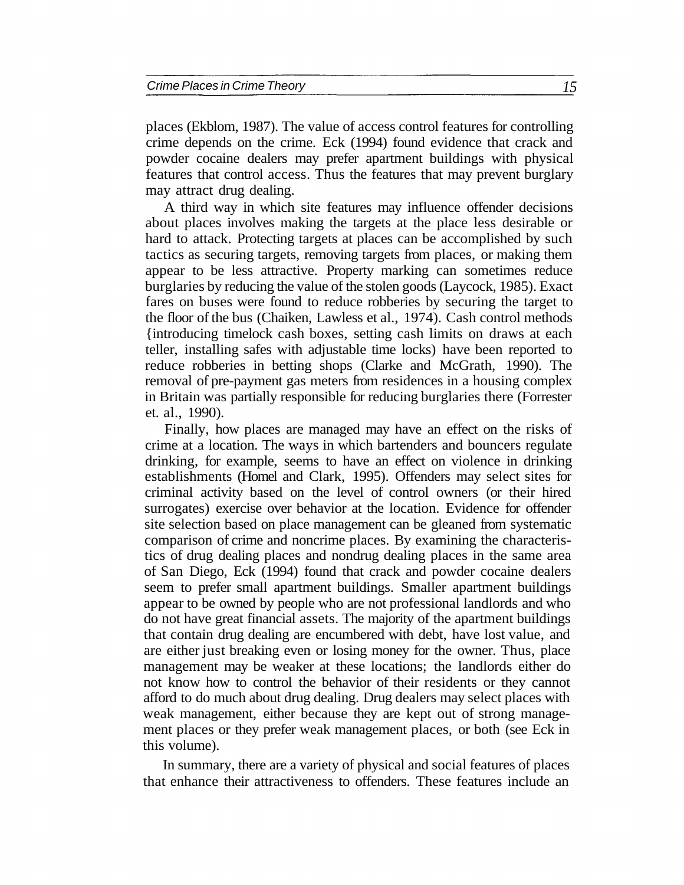places (Ekblom, 1987). The value of access control features for controlling crime depends on the crime. Eck (1994) found evidence that crack and powder cocaine dealers may prefer apartment buildings with physical features that control access. Thus the features that may prevent burglary may attract drug dealing.

A third way in which site features may influence offender decisions about places involves making the targets at the place less desirable or hard to attack. Protecting targets at places can be accomplished by such tactics as securing targets, removing targets from places, or making them appear to be less attractive. Property marking can sometimes reduce burglaries by reducing the value of the stolen goods (Laycock, 1985). Exact fares on buses were found to reduce robberies by securing the target to the floor of the bus (Chaiken, Lawless et al., 1974). Cash control methods {introducing timelock cash boxes, setting cash limits on draws at each teller, installing safes with adjustable time locks) have been reported to reduce robberies in betting shops (Clarke and McGrath, 1990). The removal of pre-payment gas meters from residences in a housing complex in Britain was partially responsible for reducing burglaries there (Forrester et. al., 1990).

Finally, how places are managed may have an effect on the risks of crime at a location. The ways in which bartenders and bouncers regulate drinking, for example, seems to have an effect on violence in drinking establishments (Homel and Clark, 1995). Offenders may select sites for criminal activity based on the level of control owners (or their hired surrogates) exercise over behavior at the location. Evidence for offender site selection based on place management can be gleaned from systematic comparison of crime and noncrime places. By examining the characteristics of drug dealing places and nondrug dealing places in the same area of San Diego, Eck (1994) found that crack and powder cocaine dealers seem to prefer small apartment buildings. Smaller apartment buildings appear to be owned by people who are not professional landlords and who do not have great financial assets. The majority of the apartment buildings that contain drug dealing are encumbered with debt, have lost value, and are either just breaking even or losing money for the owner. Thus, place management may be weaker at these locations; the landlords either do not know how to control the behavior of their residents or they cannot afford to do much about drug dealing. Drug dealers may select places with weak management, either because they are kept out of strong management places or they prefer weak management places, or both (see Eck in this volume).

In summary, there are a variety of physical and social features of places that enhance their attractiveness to offenders. These features include an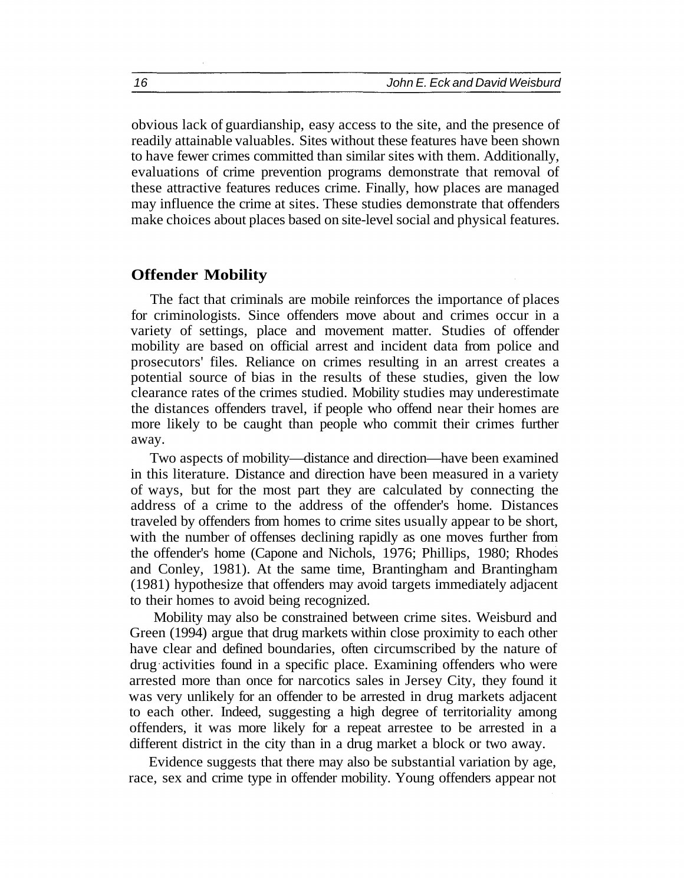obvious lack of guardianship, easy access to the site, and the presence of readily attainable valuables. Sites without these features have been shown to have fewer crimes committed than similar sites with them. Additionally, evaluations of crime prevention programs demonstrate that removal of these attractive features reduces crime. Finally, how places are managed may influence the crime at sites. These studies demonstrate that offenders make choices about places based on site-level social and physical features.

#### **Offender Mobility**

The fact that criminals are mobile reinforces the importance of places for criminologists. Since offenders move about and crimes occur in a variety of settings, place and movement matter. Studies of offender mobility are based on official arrest and incident data from police and prosecutors' files. Reliance on crimes resulting in an arrest creates a potential source of bias in the results of these studies, given the low clearance rates of the crimes studied. Mobility studies may underestimate the distances offenders travel, if people who offend near their homes are more likely to be caught than people who commit their crimes further away.

Two aspects of mobility—distance and direction—have been examined in this literature. Distance and direction have been measured in a variety of ways, but for the most part they are calculated by connecting the address of a crime to the address of the offender's home. Distances traveled by offenders from homes to crime sites usually appear to be short, with the number of offenses declining rapidly as one moves further from the offender's home (Capone and Nichols, 1976; Phillips, 1980; Rhodes and Conley, 1981). At the same time, Brantingham and Brantingham (1981) hypothesize that offenders may avoid targets immediately adjacent to their homes to avoid being recognized.

Mobility may also be constrained between crime sites. Weisburd and Green (1994) argue that drug markets within close proximity to each other have clear and defined boundaries, often circumscribed by the nature of drug activities found in a specific place. Examining offenders who were arrested more than once for narcotics sales in Jersey City, they found it was very unlikely for an offender to be arrested in drug markets adjacent to each other. Indeed, suggesting a high degree of territoriality among offenders, it was more likely for a repeat arrestee to be arrested in a different district in the city than in a drug market a block or two away.

Evidence suggests that there may also be substantial variation by age, race, sex and crime type in offender mobility. Young offenders appear not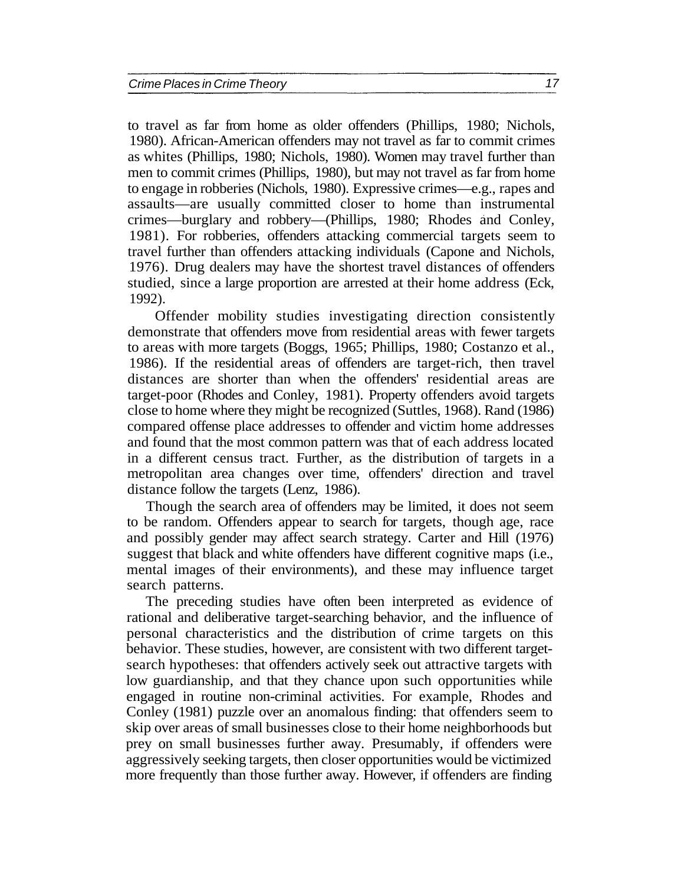to travel as far from home as older offenders (Phillips, 1980; Nichols, 1980). African-American offenders may not travel as far to commit crimes as whites (Phillips, 1980; Nichols, 1980). Women may travel further than men to commit crimes (Phillips, 1980), but may not travel as far from home to engage in robberies (Nichols, 1980). Expressive crimes—e.g., rapes and assaults—are usually committed closer to home than instrumental crimes—burglary and robbery—(Phillips, 1980; Rhodes and Conley, 1981). For robberies, offenders attacking commercial targets seem to travel further than offenders attacking individuals (Capone and Nichols, 1976). Drug dealers may have the shortest travel distances of offenders studied, since a large proportion are arrested at their home address (Eck, 1992).

Offender mobility studies investigating direction consistently demonstrate that offenders move from residential areas with fewer targets to areas with more targets (Boggs, 1965; Phillips, 1980; Costanzo et al., 1986). If the residential areas of offenders are target-rich, then travel distances are shorter than when the offenders' residential areas are target-poor (Rhodes and Conley, 1981). Property offenders avoid targets close to home where they might be recognized (Suttles, 1968). Rand (1986) compared offense place addresses to offender and victim home addresses and found that the most common pattern was that of each address located in a different census tract. Further, as the distribution of targets in a metropolitan area changes over time, offenders' direction and travel distance follow the targets (Lenz, 1986).

Though the search area of offenders may be limited, it does not seem to be random. Offenders appear to search for targets, though age, race and possibly gender may affect search strategy. Carter and Hill (1976) suggest that black and white offenders have different cognitive maps (i.e., mental images of their environments), and these may influence target search patterns.

The preceding studies have often been interpreted as evidence of rational and deliberative target-searching behavior, and the influence of personal characteristics and the distribution of crime targets on this behavior. These studies, however, are consistent with two different targetsearch hypotheses: that offenders actively seek out attractive targets with low guardianship, and that they chance upon such opportunities while engaged in routine non-criminal activities. For example, Rhodes and Conley (1981) puzzle over an anomalous finding: that offenders seem to skip over areas of small businesses close to their home neighborhoods but prey on small businesses further away. Presumably, if offenders were aggressively seeking targets, then closer opportunities would be victimized more frequently than those further away. However, if offenders are finding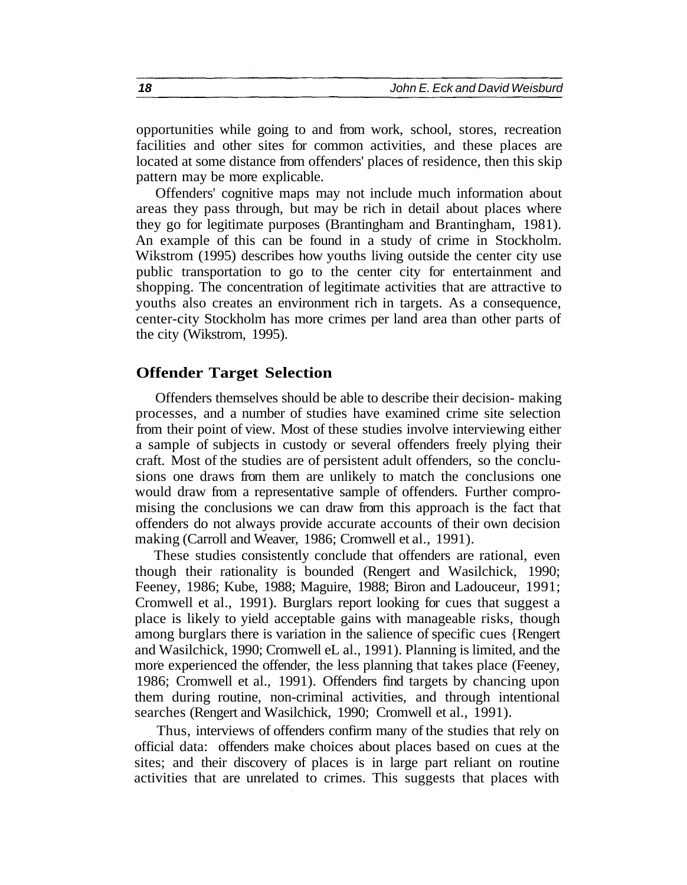opportunities while going to and from work, school, stores, recreation facilities and other sites for common activities, and these places are located at some distance from offenders' places of residence, then this skip pattern may be more explicable.

Offenders' cognitive maps may not include much information about areas they pass through, but may be rich in detail about places where they go for legitimate purposes (Brantingham and Brantingham, 1981). An example of this can be found in a study of crime in Stockholm. Wikstrom (1995) describes how youths living outside the center city use public transportation to go to the center city for entertainment and shopping. The concentration of legitimate activities that are attractive to youths also creates an environment rich in targets. As a consequence, center-city Stockholm has more crimes per land area than other parts of the city (Wikstrom, 1995).

#### **Offender Target Selection**

Offenders themselves should be able to describe their decision- making processes, and a number of studies have examined crime site selection from their point of view. Most of these studies involve interviewing either a sample of subjects in custody or several offenders freely plying their craft. Most of the studies are of persistent adult offenders, so the conclusions one draws from them are unlikely to match the conclusions one would draw from a representative sample of offenders. Further compromising the conclusions we can draw from this approach is the fact that offenders do not always provide accurate accounts of their own decision making (Carroll and Weaver, 1986; Cromwell et al., 1991).

These studies consistently conclude that offenders are rational, even though their rationality is bounded (Rengert and Wasilchick, 1990; Feeney, 1986; Kube, 1988; Maguire, 1988; Biron and Ladouceur, 1991; Cromwell et al., 1991). Burglars report looking for cues that suggest a place is likely to yield acceptable gains with manageable risks, though among burglars there is variation in the salience of specific cues {Rengert and Wasilchick, 1990; Cromwell eL al., 1991). Planning is limited, and the more experienced the offender, the less planning that takes place (Feeney, 1986; Cromwell et al., 1991). Offenders find targets by chancing upon them during routine, non-criminal activities, and through intentional searches (Rengert and Wasilchick, 1990; Cromwell et al., 1991).

Thus, interviews of offenders confirm many of the studies that rely on official data: offenders make choices about places based on cues at the sites; and their discovery of places is in large part reliant on routine activities that are unrelated to crimes. This suggests that places with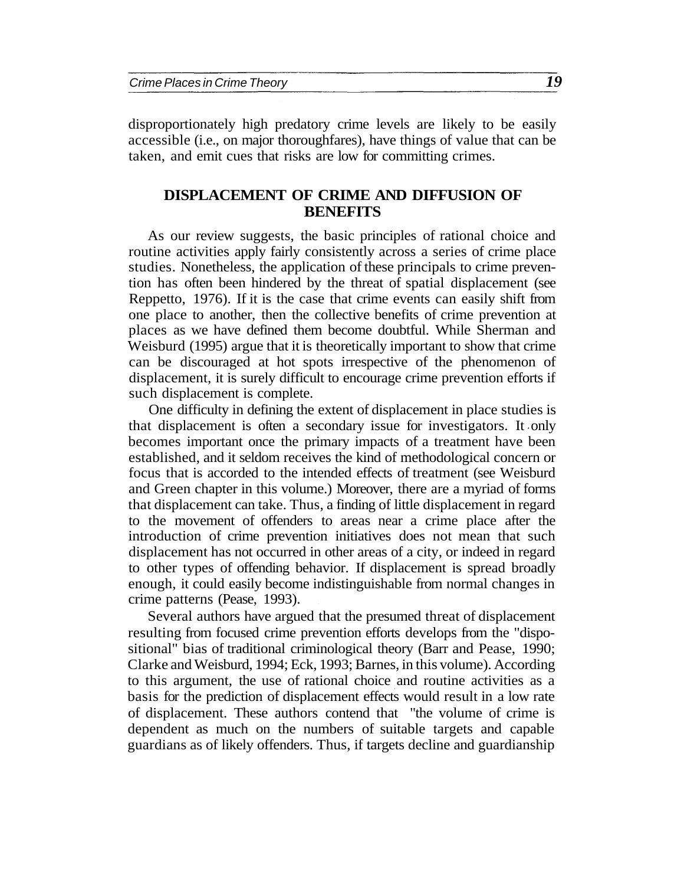disproportionately high predatory crime levels are likely to be easily accessible (i.e., on major thoroughfares), have things of value that can be taken, and emit cues that risks are low for committing crimes.

#### **DISPLACEMENT OF CRIME AND DIFFUSION OF BENEFITS**

As our review suggests, the basic principles of rational choice and routine activities apply fairly consistently across a series of crime place studies. Nonetheless, the application of these principals to crime prevention has often been hindered by the threat of spatial displacement (see Reppetto, 1976). If it is the case that crime events can easily shift from one place to another, then the collective benefits of crime prevention at places as we have defined them become doubtful. While Sherman and Weisburd (1995) argue that it is theoretically important to show that crime can be discouraged at hot spots irrespective of the phenomenon of displacement, it is surely difficult to encourage crime prevention efforts if such displacement is complete.

One difficulty in defining the extent of displacement in place studies is that displacement is often a secondary issue for investigators. It only becomes important once the primary impacts of a treatment have been established, and it seldom receives the kind of methodological concern or focus that is accorded to the intended effects of treatment (see Weisburd and Green chapter in this volume.) Moreover, there are a myriad of forms that displacement can take. Thus, a finding of little displacement in regard to the movement of offenders to areas near a crime place after the introduction of crime prevention initiatives does not mean that such displacement has not occurred in other areas of a city, or indeed in regard to other types of offending behavior. If displacement is spread broadly enough, it could easily become indistinguishable from normal changes in crime patterns (Pease, 1993).

Several authors have argued that the presumed threat of displacement resulting from focused crime prevention efforts develops from the "dispositional" bias of traditional criminological theory (Barr and Pease, 1990; Clarke and Weisburd, 1994; Eck, 1993; Barnes, in this volume). According to this argument, the use of rational choice and routine activities as a basis for the prediction of displacement effects would result in a low rate of displacement. These authors contend that "the volume of crime is dependent as much on the numbers of suitable targets and capable guardians as of likely offenders. Thus, if targets decline and guardianship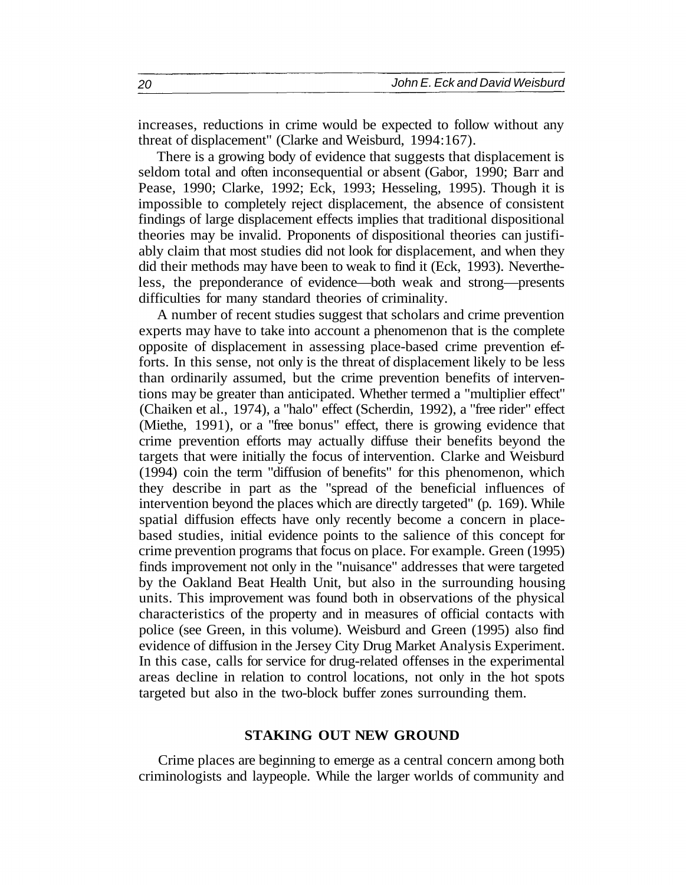increases, reductions in crime would be expected to follow without any threat of displacement" (Clarke and Weisburd, 1994:167).

There is a growing body of evidence that suggests that displacement is seldom total and often inconsequential or absent (Gabor, 1990; Barr and Pease, 1990; Clarke, 1992; Eck, 1993; Hesseling, 1995). Though it is impossible to completely reject displacement, the absence of consistent findings of large displacement effects implies that traditional dispositional theories may be invalid. Proponents of dispositional theories can justifiably claim that most studies did not look for displacement, and when they did their methods may have been to weak to find it (Eck, 1993). Nevertheless, the preponderance of evidence—both weak and strong—presents difficulties for many standard theories of criminality.

A number of recent studies suggest that scholars and crime prevention experts may have to take into account a phenomenon that is the complete opposite of displacement in assessing place-based crime prevention efforts. In this sense, not only is the threat of displacement likely to be less than ordinarily assumed, but the crime prevention benefits of interventions may be greater than anticipated. Whether termed a "multiplier effect" (Chaiken et al., 1974), a "halo" effect (Scherdin, 1992), a "free rider" effect (Miethe, 1991), or a "free bonus" effect, there is growing evidence that crime prevention efforts may actually diffuse their benefits beyond the targets that were initially the focus of intervention. Clarke and Weisburd (1994) coin the term "diffusion of benefits" for this phenomenon, which they describe in part as the "spread of the beneficial influences of intervention beyond the places which are directly targeted" (p. 169). While spatial diffusion effects have only recently become a concern in placebased studies, initial evidence points to the salience of this concept for crime prevention programs that focus on place. For example. Green (1995) finds improvement not only in the "nuisance" addresses that were targeted by the Oakland Beat Health Unit, but also in the surrounding housing units. This improvement was found both in observations of the physical characteristics of the property and in measures of official contacts with police (see Green, in this volume). Weisburd and Green (1995) also find evidence of diffusion in the Jersey City Drug Market Analysis Experiment. In this case, calls for service for drug-related offenses in the experimental areas decline in relation to control locations, not only in the hot spots targeted but also in the two-block buffer zones surrounding them.

#### **STAKING OUT NEW GROUND**

Crime places are beginning to emerge as a central concern among both criminologists and laypeople. While the larger worlds of community and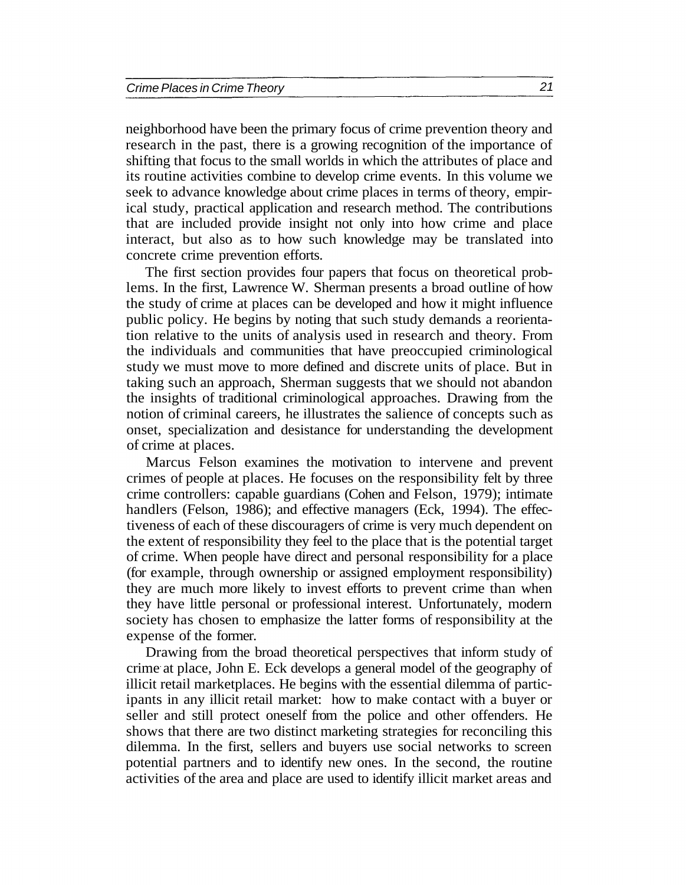neighborhood have been the primary focus of crime prevention theory and research in the past, there is a growing recognition of the importance of shifting that focus to the small worlds in which the attributes of place and its routine activities combine to develop crime events. In this volume we seek to advance knowledge about crime places in terms of theory, empirical study, practical application and research method. The contributions that are included provide insight not only into how crime and place interact, but also as to how such knowledge may be translated into concrete crime prevention efforts.

The first section provides four papers that focus on theoretical problems. In the first, Lawrence W. Sherman presents a broad outline of how the study of crime at places can be developed and how it might influence public policy. He begins by noting that such study demands a reorientation relative to the units of analysis used in research and theory. From the individuals and communities that have preoccupied criminological study we must move to more defined and discrete units of place. But in taking such an approach, Sherman suggests that we should not abandon the insights of traditional criminological approaches. Drawing from the notion of criminal careers, he illustrates the salience of concepts such as onset, specialization and desistance for understanding the development of crime at places.

Marcus Felson examines the motivation to intervene and prevent crimes of people at places. He focuses on the responsibility felt by three crime controllers: capable guardians (Cohen and Felson, 1979); intimate handlers (Felson, 1986); and effective managers (Eck, 1994). The effectiveness of each of these discouragers of crime is very much dependent on the extent of responsibility they feel to the place that is the potential target of crime. When people have direct and personal responsibility for a place (for example, through ownership or assigned employment responsibility) they are much more likely to invest efforts to prevent crime than when they have little personal or professional interest. Unfortunately, modern society has chosen to emphasize the latter forms of responsibility at the expense of the former.

Drawing from the broad theoretical perspectives that inform study of crime at place, John E. Eck develops a general model of the geography of illicit retail marketplaces. He begins with the essential dilemma of participants in any illicit retail market: how to make contact with a buyer or seller and still protect oneself from the police and other offenders. He shows that there are two distinct marketing strategies for reconciling this dilemma. In the first, sellers and buyers use social networks to screen potential partners and to identify new ones. In the second, the routine activities of the area and place are used to identify illicit market areas and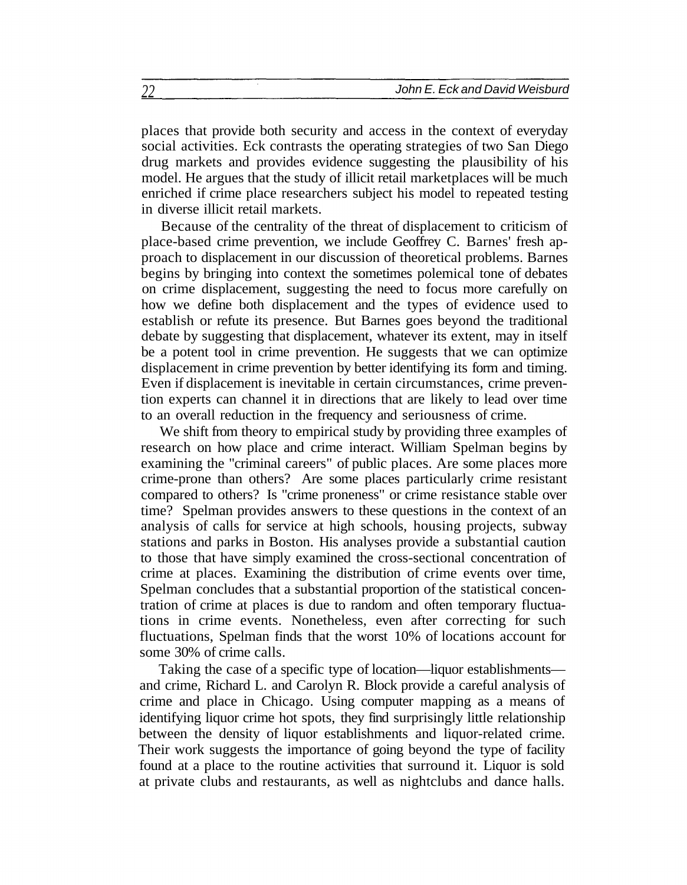places that provide both security and access in the context of everyday social activities. Eck contrasts the operating strategies of two San Diego drug markets and provides evidence suggesting the plausibility of his model. He argues that the study of illicit retail marketplaces will be much enriched if crime place researchers subject his model to repeated testing in diverse illicit retail markets.

Because of the centrality of the threat of displacement to criticism of place-based crime prevention, we include Geoffrey C. Barnes' fresh approach to displacement in our discussion of theoretical problems. Barnes begins by bringing into context the sometimes polemical tone of debates on crime displacement, suggesting the need to focus more carefully on how we define both displacement and the types of evidence used to establish or refute its presence. But Barnes goes beyond the traditional debate by suggesting that displacement, whatever its extent, may in itself be a potent tool in crime prevention. He suggests that we can optimize displacement in crime prevention by better identifying its form and timing. Even if displacement is inevitable in certain circumstances, crime prevention experts can channel it in directions that are likely to lead over time to an overall reduction in the frequency and seriousness of crime.

We shift from theory to empirical study by providing three examples of research on how place and crime interact. William Spelman begins by examining the "criminal careers" of public places. Are some places more crime-prone than others? Are some places particularly crime resistant compared to others? Is "crime proneness" or crime resistance stable over time? Spelman provides answers to these questions in the context of an analysis of calls for service at high schools, housing projects, subway stations and parks in Boston. His analyses provide a substantial caution to those that have simply examined the cross-sectional concentration of crime at places. Examining the distribution of crime events over time, Spelman concludes that a substantial proportion of the statistical concentration of crime at places is due to random and often temporary fluctuations in crime events. Nonetheless, even after correcting for such fluctuations, Spelman finds that the worst 10% of locations account for some 30% of crime calls.

Taking the case of a specific type of location—liquor establishments and crime, Richard L. and Carolyn R. Block provide a careful analysis of crime and place in Chicago. Using computer mapping as a means of identifying liquor crime hot spots, they find surprisingly little relationship between the density of liquor establishments and liquor-related crime. Their work suggests the importance of going beyond the type of facility found at a place to the routine activities that surround it. Liquor is sold at private clubs and restaurants, as well as nightclubs and dance halls.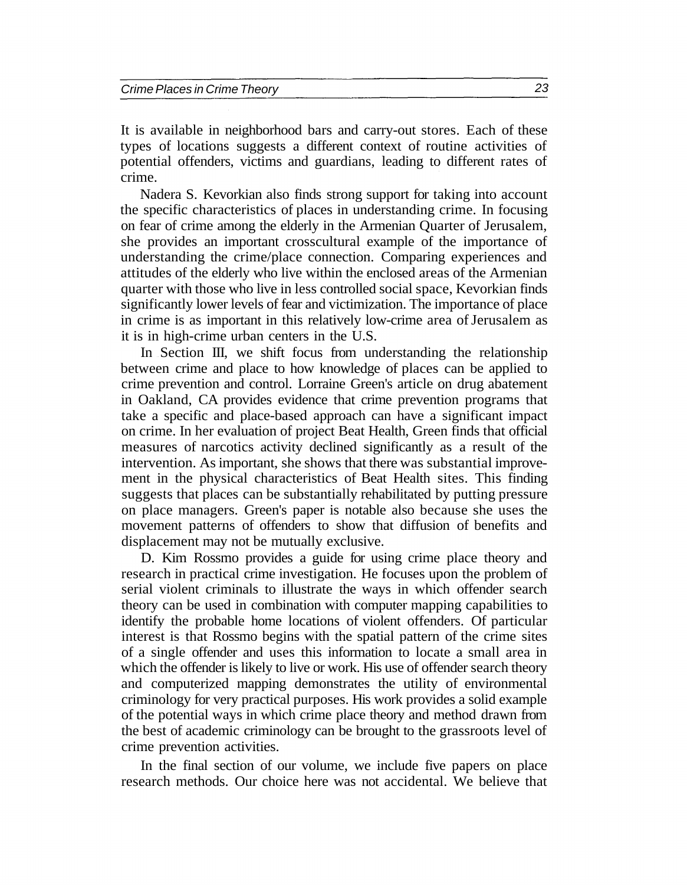It is available in neighborhood bars and carry-out stores. Each of these types of locations suggests a different context of routine activities of potential offenders, victims and guardians, leading to different rates of crime.

Nadera S. Kevorkian also finds strong support for taking into account the specific characteristics of places in understanding crime. In focusing on fear of crime among the elderly in the Armenian Quarter of Jerusalem, she provides an important crosscultural example of the importance of understanding the crime/place connection. Comparing experiences and attitudes of the elderly who live within the enclosed areas of the Armenian quarter with those who live in less controlled social space, Kevorkian finds significantly lower levels of fear and victimization. The importance of place in crime is as important in this relatively low-crime area of Jerusalem as it is in high-crime urban centers in the U.S.

In Section III, we shift focus from understanding the relationship between crime and place to how knowledge of places can be applied to crime prevention and control. Lorraine Green's article on drug abatement in Oakland, CA provides evidence that crime prevention programs that take a specific and place-based approach can have a significant impact on crime. In her evaluation of project Beat Health, Green finds that official measures of narcotics activity declined significantly as a result of the intervention. As important, she shows that there was substantial improvement in the physical characteristics of Beat Health sites. This finding suggests that places can be substantially rehabilitated by putting pressure on place managers. Green's paper is notable also because she uses the movement patterns of offenders to show that diffusion of benefits and displacement may not be mutually exclusive.

D. Kim Rossmo provides a guide for using crime place theory and research in practical crime investigation. He focuses upon the problem of serial violent criminals to illustrate the ways in which offender search theory can be used in combination with computer mapping capabilities to identify the probable home locations of violent offenders. Of particular interest is that Rossmo begins with the spatial pattern of the crime sites of a single offender and uses this information to locate a small area in which the offender is likely to live or work. His use of offender search theory and computerized mapping demonstrates the utility of environmental criminology for very practical purposes. His work provides a solid example of the potential ways in which crime place theory and method drawn from the best of academic criminology can be brought to the grassroots level of crime prevention activities.

In the final section of our volume, we include five papers on place research methods. Our choice here was not accidental. We believe that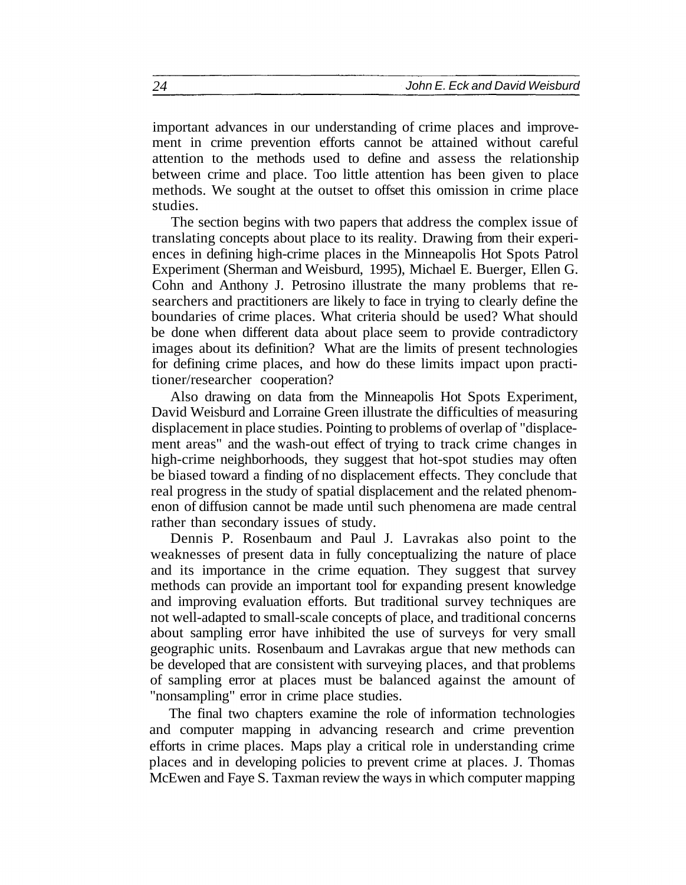important advances in our understanding of crime places and improvement in crime prevention efforts cannot be attained without careful attention to the methods used to define and assess the relationship between crime and place. Too little attention has been given to place methods. We sought at the outset to offset this omission in crime place studies.

The section begins with two papers that address the complex issue of translating concepts about place to its reality. Drawing from their experiences in defining high-crime places in the Minneapolis Hot Spots Patrol Experiment (Sherman and Weisburd, 1995), Michael E. Buerger, Ellen G. Cohn and Anthony J. Petrosino illustrate the many problems that researchers and practitioners are likely to face in trying to clearly define the boundaries of crime places. What criteria should be used? What should be done when different data about place seem to provide contradictory images about its definition? What are the limits of present technologies for defining crime places, and how do these limits impact upon practitioner/researcher cooperation?

Also drawing on data from the Minneapolis Hot Spots Experiment, David Weisburd and Lorraine Green illustrate the difficulties of measuring displacement in place studies. Pointing to problems of overlap of "displacement areas" and the wash-out effect of trying to track crime changes in high-crime neighborhoods, they suggest that hot-spot studies may often be biased toward a finding of no displacement effects. They conclude that real progress in the study of spatial displacement and the related phenomenon of diffusion cannot be made until such phenomena are made central rather than secondary issues of study.

Dennis P. Rosenbaum and Paul J. Lavrakas also point to the weaknesses of present data in fully conceptualizing the nature of place and its importance in the crime equation. They suggest that survey methods can provide an important tool for expanding present knowledge and improving evaluation efforts. But traditional survey techniques are not well-adapted to small-scale concepts of place, and traditional concerns about sampling error have inhibited the use of surveys for very small geographic units. Rosenbaum and Lavrakas argue that new methods can be developed that are consistent with surveying places, and that problems of sampling error at places must be balanced against the amount of "nonsampling" error in crime place studies.

The final two chapters examine the role of information technologies and computer mapping in advancing research and crime prevention efforts in crime places. Maps play a critical role in understanding crime places and in developing policies to prevent crime at places. J. Thomas McEwen and Faye S. Taxman review the ways in which computer mapping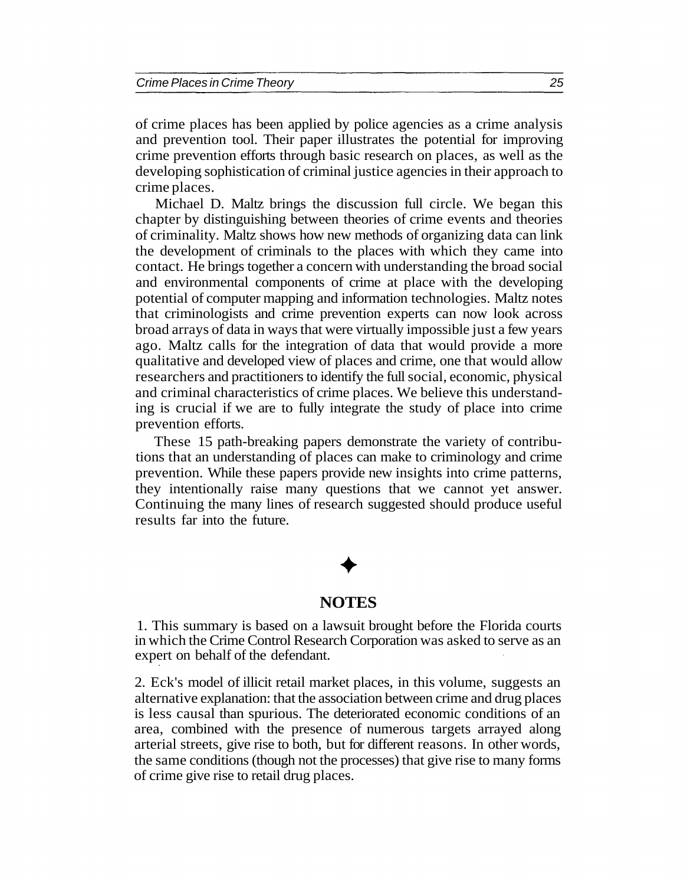of crime places has been applied by police agencies as a crime analysis and prevention tool. Their paper illustrates the potential for improving crime prevention efforts through basic research on places, as well as the developing sophistication of criminal justice agencies in their approach to crime places.

Michael D. Maltz brings the discussion full circle. We began this chapter by distinguishing between theories of crime events and theories of criminality. Maltz shows how new methods of organizing data can link the development of criminals to the places with which they came into contact. He brings together a concern with understanding the broad social and environmental components of crime at place with the developing potential of computer mapping and information technologies. Maltz notes that criminologists and crime prevention experts can now look across broad arrays of data in ways that were virtually impossible just a few years ago. Maltz calls for the integration of data that would provide a more qualitative and developed view of places and crime, one that would allow researchers and practitioners to identify the full social, economic, physical and criminal characteristics of crime places. We believe this understanding is crucial if we are to fully integrate the study of place into crime prevention efforts.

These 15 path-breaking papers demonstrate the variety of contributions that an understanding of places can make to criminology and crime prevention. While these papers provide new insights into crime patterns, they intentionally raise many questions that we cannot yet answer. Continuing the many lines of research suggested should produce useful results far into the future.

# **NOTES**

1. This summary is based on a lawsuit brought before the Florida courts in which the Crime Control Research Corporation was asked to serve as an expert on behalf of the defendant.

2. Eck's model of illicit retail market places, in this volume, suggests an alternative explanation: that the association between crime and drug places is less causal than spurious. The deteriorated economic conditions of an area, combined with the presence of numerous targets arrayed along arterial streets, give rise to both, but for different reasons. In other words, the same conditions (though not the processes) that give rise to many forms of crime give rise to retail drug places.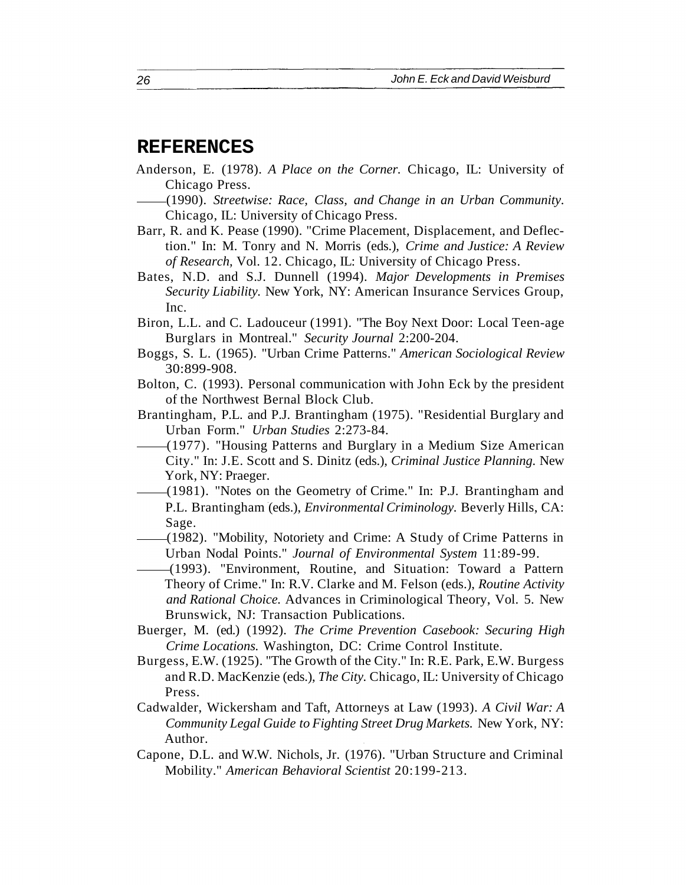#### **REFERENCES**

- Anderson, E. (1978). *A Place on the Corner.* Chicago, IL: University of Chicago Press.
	- (1990). *Streetwise: Race, Class, and Change in an Urban Community.* Chicago, IL: University of Chicago Press.
- Barr, R. and K. Pease (1990). "Crime Placement, Displacement, and Deflection." In: M. Tonry and N. Morris (eds.), *Crime and Justice: A Review of Research,* Vol. 12. Chicago, IL: University of Chicago Press.
- Bates, N.D. and S.J. Dunnell (1994). *Major Developments in Premises Security Liability.* New York, NY: American Insurance Services Group, Inc.
- Biron, L.L. and C. Ladouceur (1991). "The Boy Next Door: Local Teen-age Burglars in Montreal." *Security Journal* 2:200-204.
- Boggs, S. L. (1965). "Urban Crime Patterns." *American Sociological Review* 30:899-908.
- Bolton, C. (1993). Personal communication with John Eck by the president of the Northwest Bernal Block Club.
- Brantingham, P.L. and P.J. Brantingham (1975). "Residential Burglary and Urban Form." *Urban Studies* 2:273-84.
- (1977). "Housing Patterns and Burglary in a Medium Size American City." In: J.E. Scott and S. Dinitz (eds.), *Criminal Justice Planning.* New York, NY: Praeger.
- (1981). "Notes on the Geometry of Crime." In: P.J. Brantingham and P.L. Brantingham (eds.), *Environmental Criminology.* Beverly Hills, CA: Sage.
- (1982). "Mobility, Notoriety and Crime: A Study of Crime Patterns in Urban Nodal Points." *Journal of Environmental System* 11:89-99.
- (1993). "Environment, Routine, and Situation: Toward a Pattern Theory of Crime." In: R.V. Clarke and M. Felson (eds.), *Routine Activity and Rational Choice.* Advances in Criminological Theory, Vol. 5. New Brunswick, NJ: Transaction Publications.
- Buerger, M. (ed.) (1992). *The Crime Prevention Casebook: Securing High Crime Locations.* Washington, DC: Crime Control Institute.
- Burgess, E.W. (1925). "The Growth of the City." In: R.E. Park, E.W. Burgess and R.D. MacKenzie (eds.), *The City.* Chicago, IL: University of Chicago Press.
- Cadwalder, Wickersham and Taft, Attorneys at Law (1993). *A Civil War: A Community Legal Guide to Fighting Street Drug Markets.* New York, NY: Author.
- Capone, D.L. and W.W. Nichols, Jr. (1976). "Urban Structure and Criminal Mobility." *American Behavioral Scientist* 20:199-213.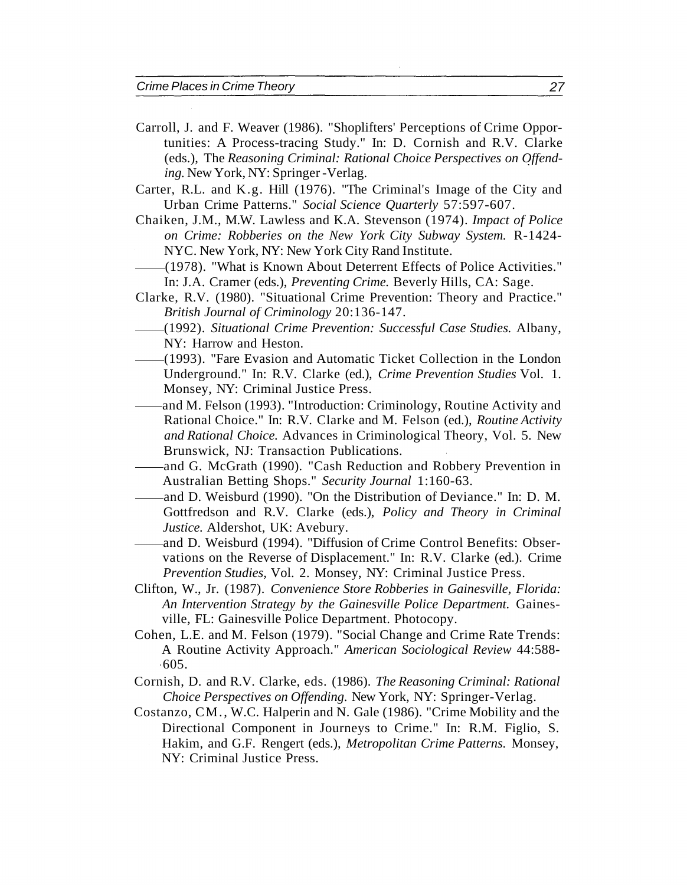- Carroll, J. and F. Weaver (1986). "Shoplifters' Perceptions of Crime Opportunities: A Process-tracing Study." In: D. Cornish and R.V. Clarke (eds.), The *Reasoning Criminal: Rational Choice Perspectives on Offending.* New York, NY: Springer -Verlag.
- Carter, R.L. and K.g. Hill (1976). "The Criminal's Image of the City and Urban Crime Patterns." *Social Science Quarterly* 57:597-607.
- Chaiken, J.M., M.W. Lawless and K.A. Stevenson (1974). *Impact of Police on Crime: Robberies on the New York City Subway System.* R-1424- NYC. New York, NY: New York City Rand Institute.
- (1978). "What is Known About Deterrent Effects of Police Activities." In: J.A. Cramer (eds.), *Preventing Crime.* Beverly Hills, CA: Sage.
- Clarke, R.V. (1980). "Situational Crime Prevention: Theory and Practice." *British Journal of Criminology* 20:136-147.
- (1992). *Situational Crime Prevention: Successful Case Studies.* Albany, NY: Harrow and Heston.
- (1993). "Fare Evasion and Automatic Ticket Collection in the London Underground." In: R.V. Clarke (ed.), *Crime Prevention Studies* Vol. 1. Monsey, NY: Criminal Justice Press.
- and M. Felson (1993). "Introduction: Criminology, Routine Activity and Rational Choice." In: R.V. Clarke and M. Felson (ed.), *Routine Activity and Rational Choice.* Advances in Criminological Theory, Vol. 5. New Brunswick, NJ: Transaction Publications.
- and G. McGrath (1990). "Cash Reduction and Robbery Prevention in Australian Betting Shops." *Security Journal* 1:160-63.
- and D. Weisburd (1990). "On the Distribution of Deviance." In: D. M. Gottfredson and R.V. Clarke (eds.), *Policy and Theory in Criminal Justice.* Aldershot, UK: Avebury.
- and D. Weisburd (1994). "Diffusion of Crime Control Benefits: Observations on the Reverse of Displacement." In: R.V. Clarke (ed.). Crime *Prevention Studies,* Vol. 2. Monsey, NY: Criminal Justice Press.
- Clifton, W., Jr. (1987). *Convenience Store Robberies in Gainesville, Florida: An Intervention Strategy by the Gainesville Police Department.* Gainesville, FL: Gainesville Police Department. Photocopy.
- Cohen, L.E. and M. Felson (1979). "Social Change and Crime Rate Trends: A Routine Activity Approach." *American Sociological Review* 44:588-  $.605.$
- Cornish, D. and R.V. Clarke, eds. (1986). *The Reasoning Criminal: Rational Choice Perspectives on Offending.* New York, NY: Springer-Verlag.
- Costanzo, CM., W.C. Halperin and N. Gale (1986). "Crime Mobility and the Directional Component in Journeys to Crime." In: R.M. Figlio, S. Hakim, and G.F. Rengert (eds.), *Metropolitan Crime Patterns.* Monsey, NY: Criminal Justice Press.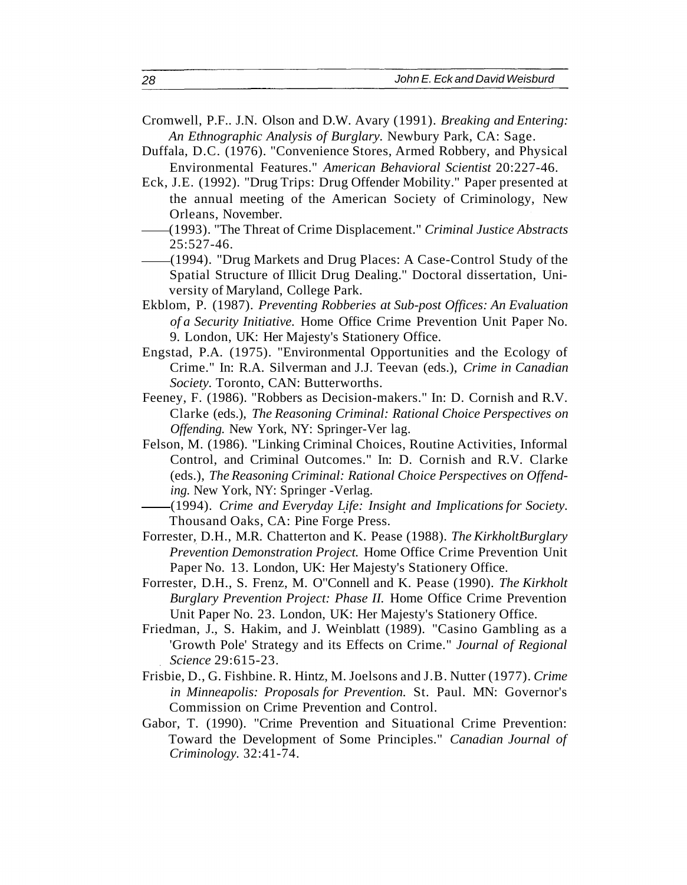- Cromwell, P.F.. J.N. Olson and D.W. Avary (1991). *Breaking and Entering: An Ethnographic Analysis of Burglary.* Newbury Park, CA: Sage.
- Duffala, D.C. (1976). "Convenience Stores, Armed Robbery, and Physical Environmental Features." *American Behavioral Scientist* 20:227-46.
- Eck, J.E. (1992). "Drug Trips: Drug Offender Mobility." Paper presented at the annual meeting of the American Society of Criminology, New Orleans, November.
- (1993). "The Threat of Crime Displacement." *Criminal Justice Abstracts* 25:527-46.
- (1994). "Drug Markets and Drug Places: A Case-Control Study of the Spatial Structure of Illicit Drug Dealing." Doctoral dissertation, University of Maryland, College Park.
- Ekblom, P. (1987). *Preventing Robberies at Sub-post Offices: An Evaluation of a Security Initiative.* Home Office Crime Prevention Unit Paper No. 9. London, UK: Her Majesty's Stationery Office.
- Engstad, P.A. (1975). "Environmental Opportunities and the Ecology of Crime." In: R.A. Silverman and J.J. Teevan (eds.), *Crime in Canadian Society.* Toronto, CAN: Butterworths.
- Feeney, F. (1986). "Robbers as Decision-makers." In: D. Cornish and R.V. Clarke (eds.), *The Reasoning Criminal: Rational Choice Perspectives on Offending.* New York, NY: Springer-Ver lag.
- Felson, M. (1986). "Linking Criminal Choices, Routine Activities, Informal Control, and Criminal Outcomes." In: D. Cornish and R.V. Clarke (eds.), *The Reasoning Criminal: Rational Choice Perspectives on Offending.* New York, NY: Springer -Verlag.
- (1994). *Crime and Everyday Life: Insight and Implications for Society.* Thousand Oaks, CA: Pine Forge Press.
- Forrester, D.H., M.R. Chatterton and K. Pease (1988). *The KirkholtBurglary Prevention Demonstration Project.* Home Office Crime Prevention Unit Paper No. 13. London, UK: Her Majesty's Stationery Office.
- Forrester, D.H., S. Frenz, M. O"Connell and K. Pease (1990). *The Kirkholt Burglary Prevention Project: Phase II.* Home Office Crime Prevention Unit Paper No. 23. London, UK: Her Majesty's Stationery Office.
- Friedman, J., S. Hakim, and J. Weinblatt (1989). "Casino Gambling as a 'Growth Pole' Strategy and its Effects on Crime." *Journal of Regional Science* 29:615-23.
- Frisbie, D., G. Fishbine. R. Hintz, M. Joelsons and J.B. Nutter (1977). *Crime in Minneapolis: Proposals for Prevention.* St. Paul. MN: Governor's Commission on Crime Prevention and Control.
- Gabor, T. (1990). "Crime Prevention and Situational Crime Prevention: Toward the Development of Some Principles." *Canadian Journal of Criminology.* 32:41-74.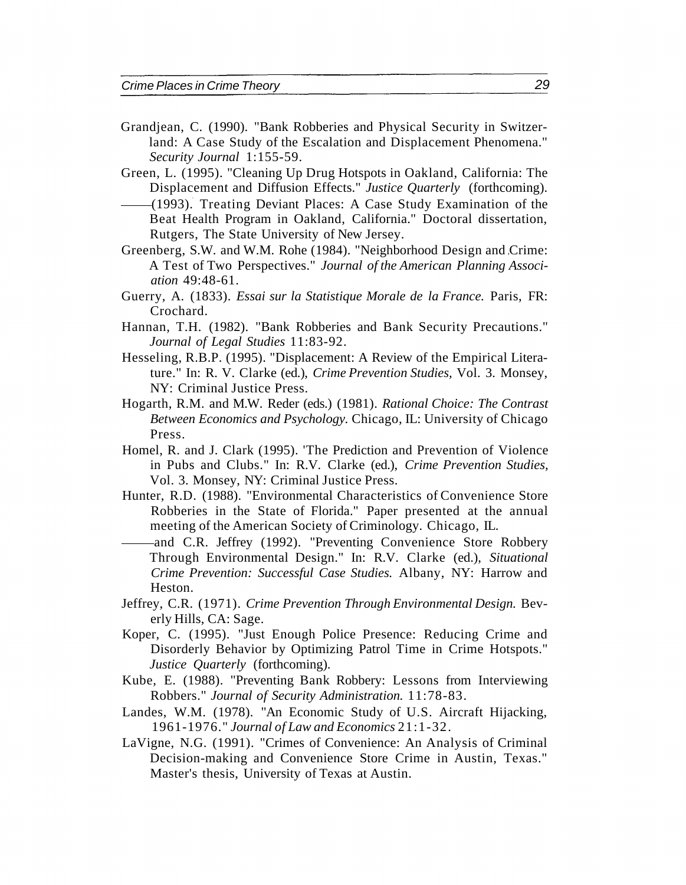- Grandjean, C. (1990). "Bank Robberies and Physical Security in Switzerland: A Case Study of the Escalation and Displacement Phenomena." *Security Journal* 1:155-59.
- Green, L. (1995). "Cleaning Up Drug Hotspots in Oakland, California: The Displacement and Diffusion Effects." *Justice Quarterly* (forthcoming).
- (1993). Treating Deviant Places: A Case Study Examination of the Beat Health Program in Oakland, California." Doctoral dissertation, Rutgers, The State University of New Jersey.
- Greenberg, S.W. and W.M. Rohe (1984). "Neighborhood Design and Crime: A Test of Two Perspectives." *Journal of the American Planning Association* 49:48-61.
- Guerry, A. (1833). *Essai sur la Statistique Morale de la France.* Paris, FR: Crochard.
- Hannan, T.H. (1982). "Bank Robberies and Bank Security Precautions." *Journal of Legal Studies* 11:83-92.
- Hesseling, R.B.P. (1995). "Displacement: A Review of the Empirical Literature." In: R. V. Clarke (ed.), *Crime Prevention Studies,* Vol. 3. Monsey, NY: Criminal Justice Press.
- Hogarth, R.M. and M.W. Reder (eds.) (1981). *Rational Choice: The Contrast Between Economics and Psychology.* Chicago, IL: University of Chicago Press.
- Homel, R. and J. Clark (1995). 'The Prediction and Prevention of Violence in Pubs and Clubs." In: R.V. Clarke (ed.), *Crime Prevention Studies,* Vol. 3. Monsey, NY: Criminal Justice Press.
- Hunter, R.D. (1988). "Environmental Characteristics of Convenience Store Robberies in the State of Florida." Paper presented at the annual meeting of the American Society of Criminology. Chicago, IL.
- and C.R. Jeffrey (1992). "Preventing Convenience Store Robbery Through Environmental Design." In: R.V. Clarke (ed.), *Situational Crime Prevention: Successful Case Studies.* Albany, NY: Harrow and Heston.
- Jeffrey, C.R. (1971). *Crime Prevention Through Environmental Design.* Beverly Hills, CA: Sage.
- Koper, C. (1995). "Just Enough Police Presence: Reducing Crime and Disorderly Behavior by Optimizing Patrol Time in Crime Hotspots." *Justice Quarterly* (forthcoming).
- Kube, E. (1988). "Preventing Bank Robbery: Lessons from Interviewing Robbers." *Journal of Security Administration.* 11:78-83.
- Landes, W.M. (1978). "An Economic Study of U.S. Aircraft Hijacking, 1961-1976." *Journal of Law and Economics* 21:1-32.
- LaVigne, N.G. (1991). "Crimes of Convenience: An Analysis of Criminal Decision-making and Convenience Store Crime in Austin, Texas." Master's thesis, University of Texas at Austin.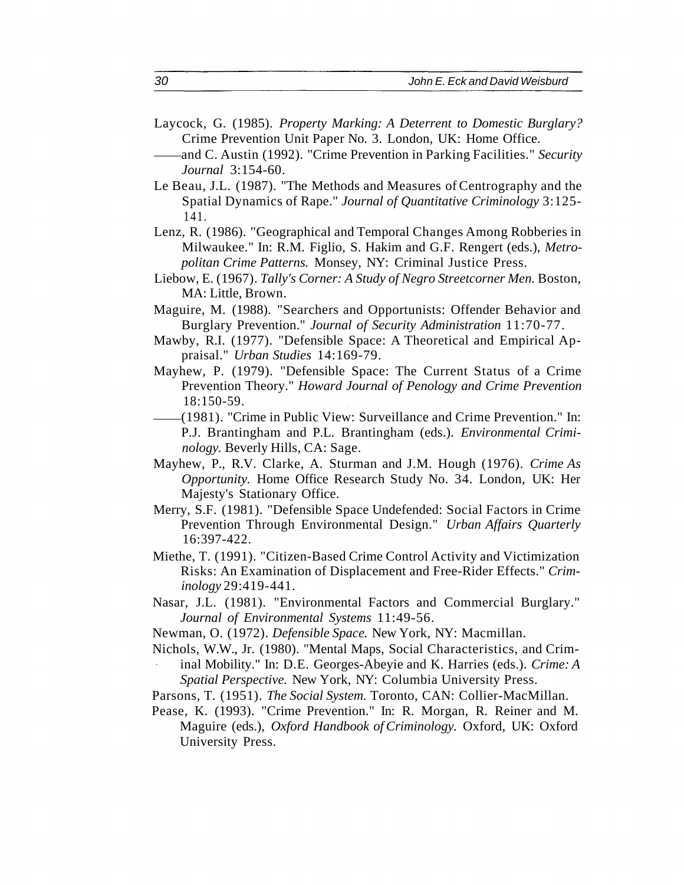- Laycock, G. (1985). *Property Marking: A Deterrent to Domestic Burglary?* Crime Prevention Unit Paper No. 3. London, UK: Home Office.
- and C. Austin (1992). "Crime Prevention in Parking Facilities." *Security Journal* 3:154-60.
- Le Beau, J.L. (1987). "The Methods and Measures of Centrography and the Spatial Dynamics of Rape." *Journal of Quantitative Criminology* 3:125- 141.
- Lenz, R. (1986). "Geographical and Temporal Changes Among Robberies in Milwaukee." In: R.M. Figlio, S. Hakim and G.F. Rengert (eds.), *Metropolitan Crime Patterns.* Monsey, NY: Criminal Justice Press.
- Liebow, E. (1967). *Tally's Corner: A Study of Negro Streetcorner Men.* Boston, MA: Little, Brown.
- Maguire, M. (1988). "Searchers and Opportunists: Offender Behavior and Burglary Prevention." *Journal of Security Administration* 11:70-77.
- Mawby, R.I. (1977). "Defensible Space: A Theoretical and Empirical Appraisal." *Urban Studies* 14:169-79.
- Mayhew, P. (1979). "Defensible Space: The Current Status of a Crime Prevention Theory." *Howard Journal of Penology and Crime Prevention* 18:150-59.
- (1981). "Crime in Public View: Surveillance and Crime Prevention." In: P.J. Brantingham and P.L. Brantingham (eds.). *Environmental Criminology.* Beverly Hills, CA: Sage.
- Mayhew, P., R.V. Clarke, A. Sturman and J.M. Hough (1976). *Crime As Opportunity.* Home Office Research Study No. 34. London, UK: Her Majesty's Stationary Office.
- Merry, S.F. (1981). "Defensible Space Undefended: Social Factors in Crime Prevention Through Environmental Design." *Urban Affairs Quarterly* 16:397-422.
- Miethe, T. (1991). "Citizen-Based Crime Control Activity and Victimization Risks: An Examination of Displacement and Free-Rider Effects." *Criminology* 29:419-441.
- Nasar, J.L. (1981). "Environmental Factors and Commercial Burglary." *Journal of Environmental Systems* 11:49-56.
- Newman, O. (1972). *Defensible Space.* New York, NY: Macmillan.
- Nichols, W.W., Jr. (1980). "Mental Maps, Social Characteristics, and Crim-
- inal Mobility." In: D.E. Georges-Abeyie and K. Harries (eds.). *Crime: A Spatial Perspective.* New York, NY: Columbia University Press.
- Parsons, T. (1951). *The Social System.* Toronto, CAN: Collier-MacMillan.
- Pease, K. (1993). "Crime Prevention." In: R. Morgan, R. Reiner and M. Maguire (eds.), *Oxford Handbook of Criminology.* Oxford, UK: Oxford University Press.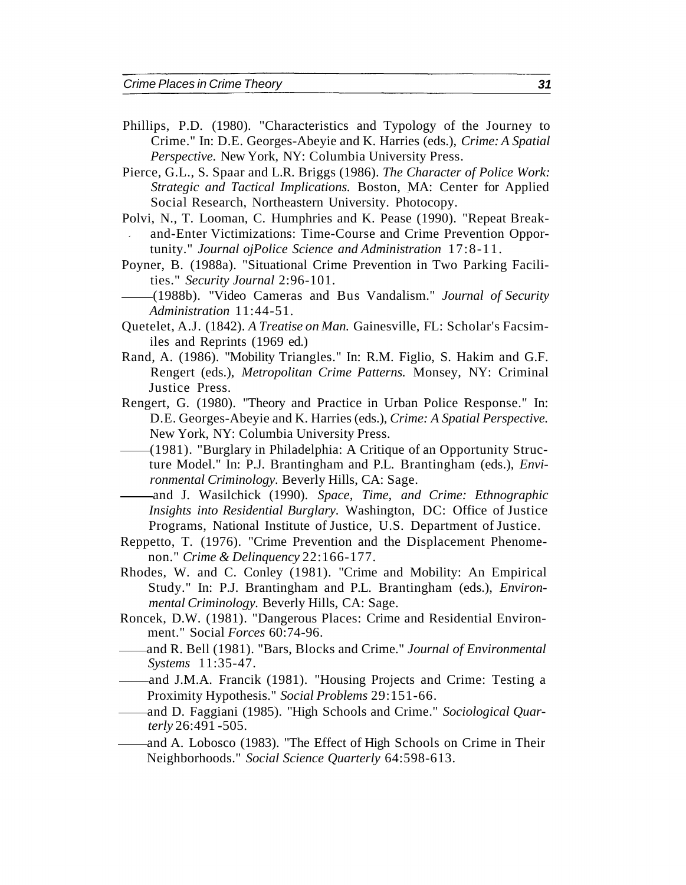- Phillips, P.D. (1980). "Characteristics and Typology of the Journey to Crime." In: D.E. Georges-Abeyie and K. Harries (eds.), *Crime: A Spatial Perspective.* New York, NY: Columbia University Press.
- Pierce, G.L., S. Spaar and L.R. Briggs (1986). *The Character of Police Work: Strategic and Tactical Implications.* Boston, MA: Center for Applied Social Research, Northeastern University. Photocopy.
- Polvi, N., T. Looman, C. Humphries and K. Pease (1990). "Repeat Breakand-Enter Victimizations: Time-Course and Crime Prevention Opportunity." *Journal ojPolice Science and Administration* 17:8-11.
- Poyner, B. (1988a). "Situational Crime Prevention in Two Parking Facilities." *Security Journal* 2:96-101.
- (1988b). "Video Cameras and Bus Vandalism." *Journal of Security Administration* 11:44-51.
- Quetelet, A.J. (1842). *A Treatise on Man.* Gainesville, FL: Scholar's Facsimiles and Reprints (1969 ed.)
- Rand, A. (1986). "Mobility Triangles." In: R.M. Figlio, S. Hakim and G.F. Rengert (eds.), *Metropolitan Crime Patterns.* Monsey, NY: Criminal Justice Press.
- Rengert, G. (1980). "Theory and Practice in Urban Police Response." In: D.E. Georges-Abeyie and K. Harries (eds.), *Crime: A Spatial Perspective.* New York, NY: Columbia University Press.
- (1981). "Burglary in Philadelphia: A Critique of an Opportunity Structure Model." In: P.J. Brantingham and P.L. Brantingham (eds.), *Environmental Criminology.* Beverly Hills, CA: Sage.
- and J. Wasilchick (1990). *Space, Time, and Crime: Ethnographic Insights into Residential Burglary.* Washington, DC: Office of Justice Programs, National Institute of Justice, U.S. Department of Justice.
- Reppetto, T. (1976). "Crime Prevention and the Displacement Phenomenon." *Crime & Delinquency* 22:166-177.
- Rhodes, W. and C. Conley (1981). "Crime and Mobility: An Empirical Study." In: P.J. Brantingham and P.L. Brantingham (eds.), *Environmental Criminology.* Beverly Hills, CA: Sage.
- Roncek, D.W. (1981). "Dangerous Places: Crime and Residential Environment." Social *Forces* 60:74-96.
- and R. Bell (1981). "Bars, Blocks and Crime." *Journal of Environmental Systems* 11:35-47.
- and J.M.A. Francik (1981). "Housing Projects and Crime: Testing a Proximity Hypothesis." *Social Problems* 29:151-66.
- and D. Faggiani (1985). "High Schools and Crime." *Sociological Quarterly* 26:491 -505.
- and A. Lobosco (1983). "The Effect of High Schools on Crime in Their Neighborhoods." *Social Science Quarterly* 64:598-613.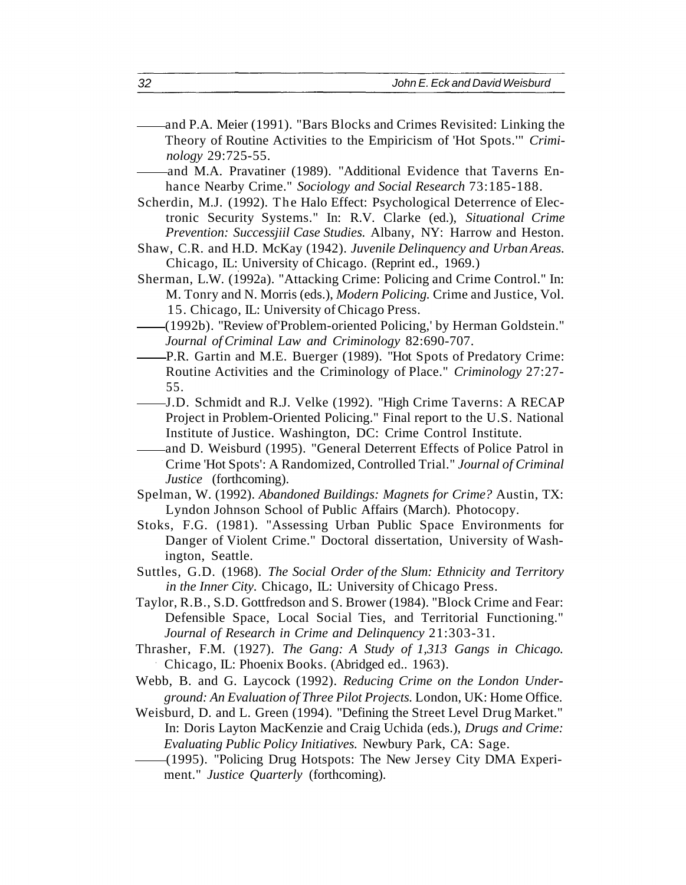- and P.A. Meier (1991). "Bars Blocks and Crimes Revisited: Linking the Theory of Routine Activities to the Empiricism of 'Hot Spots.'" *Criminology* 29:725-55.
- and M.A. Pravatiner (1989). "Additional Evidence that Taverns Enhance Nearby Crime." *Sociology and Social Research* 73:185-188.
- Scherdin, M.J. (1992). The Halo Effect: Psychological Deterrence of Electronic Security Systems." In: R.V. Clarke (ed.), *Situational Crime Prevention: Successjiil Case Studies.* Albany, NY: Harrow and Heston.
- Shaw, C.R. and H.D. McKay (1942). *Juvenile Delinquency and Urban Areas.* Chicago, IL: University of Chicago. (Reprint ed., 1969.)
- Sherman, L.W. (1992a). "Attacking Crime: Policing and Crime Control." In: M. Tonry and N. Morris (eds.), *Modern Policing.* Crime and Justice, Vol. 15. Chicago, IL: University of Chicago Press.
- (1992b). "Review of'Problem-oriented Policing,' by Herman Goldstein." *Journal of Criminal Law and Criminology* 82:690-707.
- P.R. Gartin and M.E. Buerger (1989). "Hot Spots of Predatory Crime: Routine Activities and the Criminology of Place." *Criminology* 27:27- 55.
- J.D. Schmidt and R.J. Velke (1992). "High Crime Taverns: A RECAP Project in Problem-Oriented Policing." Final report to the U.S. National Institute of Justice. Washington, DC: Crime Control Institute.
- and D. Weisburd (1995). "General Deterrent Effects of Police Patrol in Crime 'Hot Spots': A Randomized, Controlled Trial." *Journal of Criminal Justice* (forthcoming).
- Spelman, W. (1992). *Abandoned Buildings: Magnets for Crime?* Austin, TX: Lyndon Johnson School of Public Affairs (March). Photocopy.
- Stoks, F.G. (1981). "Assessing Urban Public Space Environments for Danger of Violent Crime." Doctoral dissertation, University of Washington, Seattle.
- Suttles, G.D. (1968). *The Social Order of the Slum: Ethnicity and Territory in the Inner City.* Chicago, IL: University of Chicago Press.
- Taylor, R.B., S.D. Gottfredson and S. Brower (1984). "Block Crime and Fear: Defensible Space, Local Social Ties, and Territorial Functioning." *Journal of Research in Crime and Delinquency* 21:303-31.
- Thrasher, F.M. (1927). *The Gang: A Study of 1,313 Gangs in Chicago.* Chicago, IL: Phoenix Books. (Abridged ed.. 1963).
- Webb, B. and G. Laycock (1992). *Reducing Crime on the London Underground: An Evaluation of Three Pilot Projects.* London, UK: Home Office.
- Weisburd, D. and L. Green (1994). "Defining the Street Level Drug Market." In: Doris Layton MacKenzie and Craig Uchida (eds.), *Drugs and Crime: Evaluating Public Policy Initiatives.* Newbury Park, CA: Sage.
- (1995). "Policing Drug Hotspots: The New Jersey City DMA Experiment." *Justice Quarterly* (forthcoming).